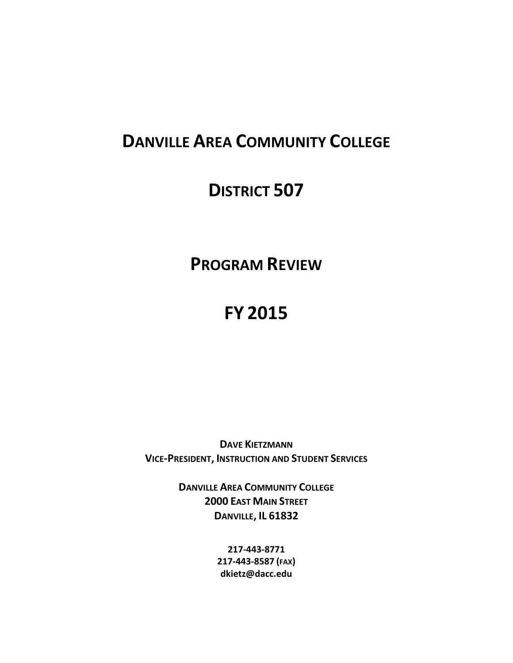# **DANVILLE AREA COMMUNITY COLLEGE**

# **DISTRICT 507**

# **PROGRAM REVIEW**

# **FY 2015**

**DAVE KIETZMANN VICE-PRESIDENT, INSTRUCTION AND STUDENT SERVICES**

> **DANVILLE AREA COMMUNITY COLLEGE 2000 EAST MAIN STREET DANVILLE, IL 61832**

> > **217-443-8771 217-443-8587 (FAX) dkietz@dacc.edu**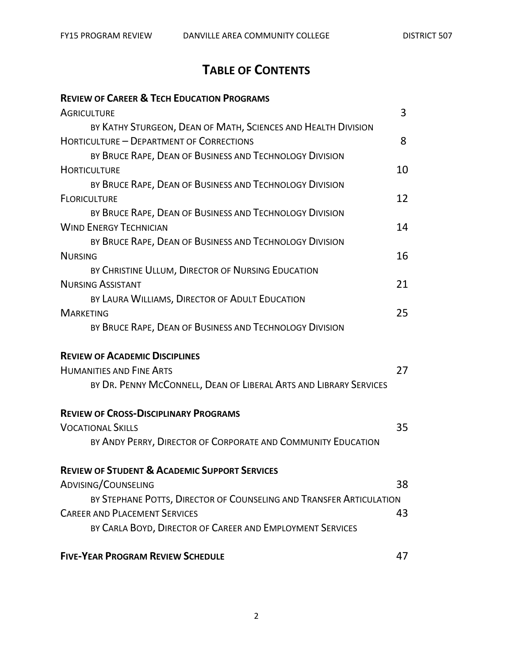# **TABLE OF CONTENTS**

# **REVIEW OF CAREER & TECH EDUCATION PROGRAMS**

| <b>AGRICULTURE</b>                                                  | 3  |
|---------------------------------------------------------------------|----|
| BY KATHY STURGEON, DEAN OF MATH, SCIENCES AND HEALTH DIVISION       |    |
| HORTICULTURE - DEPARTMENT OF CORRECTIONS                            | 8  |
| BY BRUCE RAPE, DEAN OF BUSINESS AND TECHNOLOGY DIVISION             |    |
| <b>HORTICULTURE</b>                                                 | 10 |
| BY BRUCE RAPE, DEAN OF BUSINESS AND TECHNOLOGY DIVISION             |    |
| <b>FLORICULTURE</b>                                                 | 12 |
| BY BRUCE RAPE, DEAN OF BUSINESS AND TECHNOLOGY DIVISION             |    |
| <b>WIND ENERGY TECHNICIAN</b>                                       | 14 |
| BY BRUCE RAPE, DEAN OF BUSINESS AND TECHNOLOGY DIVISION             |    |
| <b>NURSING</b>                                                      | 16 |
| BY CHRISTINE ULLUM, DIRECTOR OF NURSING EDUCATION                   |    |
| <b>NURSING ASSISTANT</b>                                            | 21 |
| BY LAURA WILLIAMS, DIRECTOR OF ADULT EDUCATION                      |    |
| <b>MARKETING</b>                                                    | 25 |
| BY BRUCE RAPE, DEAN OF BUSINESS AND TECHNOLOGY DIVISION             |    |
| <b>REVIEW OF ACADEMIC DISCIPLINES</b>                               |    |
| <b>HUMANITIES AND FINE ARTS</b>                                     | 27 |
| BY DR. PENNY MCCONNELL, DEAN OF LIBERAL ARTS AND LIBRARY SERVICES   |    |
| <b>REVIEW OF CROSS-DISCIPLINARY PROGRAMS</b>                        |    |
| <b>VOCATIONAL SKILLS</b>                                            | 35 |
| BY ANDY PERRY, DIRECTOR OF CORPORATE AND COMMUNITY EDUCATION        |    |
| <b>REVIEW OF STUDENT &amp; ACADEMIC SUPPORT SERVICES</b>            |    |
| ADVISING/COUNSELING                                                 | 38 |
| BY STEPHANE POTTS, DIRECTOR OF COUNSELING AND TRANSFER ARTICULATION |    |
| <b>CAREER AND PLACEMENT SERVICES</b>                                | 43 |
| BY CARLA BOYD, DIRECTOR OF CAREER AND EMPLOYMENT SERVICES           |    |
| <b>FIVE-YEAR PROGRAM REVIEW SCHEDULE</b>                            | 47 |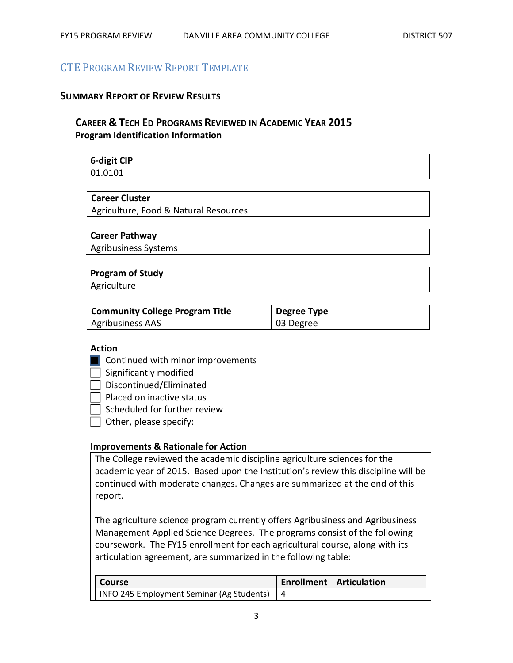# CTE PROGRAM REVIEW REPORT TEMPLATE

#### **SUMMARY REPORT OF REVIEW RESULTS**

# **CAREER & TECH ED PROGRAMS REVIEWED IN ACADEMIC YEAR 2015 Program Identification Information**

**6-digit CIP** 01.0101

#### **Career Cluster**

Agriculture, Food & Natural Resources

#### **Career Pathway**

Agribusiness Systems

# **Program of Study**

Agriculture

| <b>Community College Program Title</b> | Degree Type |
|----------------------------------------|-------------|
| <b>Agribusiness AAS</b>                | 03 Degree   |

#### **Action**

- **Continued with minor improvements**
- $\Box$  Significantly modified
- $\Box$  Discontinued/Eliminated

 $\Box$  Placed on inactive status

 $\Box$  Scheduled for further review

 $\Box$  Other, please specify:

#### **Improvements & Rationale for Action**

The College reviewed the academic discipline agriculture sciences for the academic year of 2015. Based upon the Institution's review this discipline will be continued with moderate changes. Changes are summarized at the end of this report.

The agriculture science program currently offers Agribusiness and Agribusiness Management Applied Science Degrees. The programs consist of the following coursework. The FY15 enrollment for each agricultural course, along with its articulation agreement, are summarized in the following table:

| <b>Course</b>                                 | <b>Enrollment   Articulation</b> |
|-----------------------------------------------|----------------------------------|
| INFO 245 Employment Seminar (Ag Students)   4 |                                  |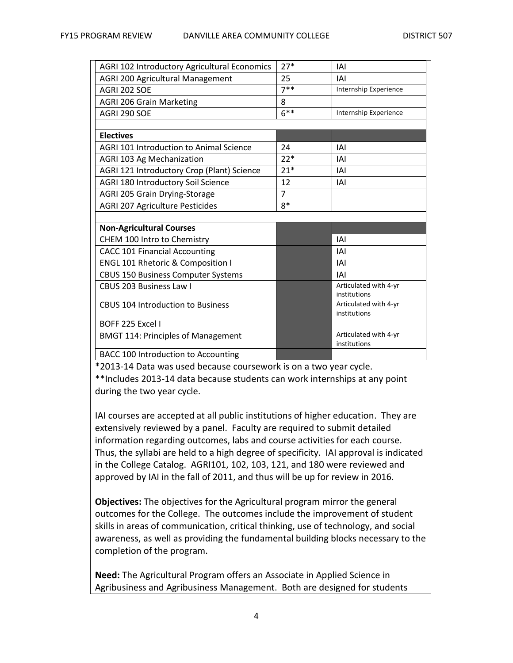| AGRI 102 Introductory Agricultural Economics   | $27*$  | IAI                                   |
|------------------------------------------------|--------|---------------------------------------|
| AGRI 200 Agricultural Management               | 25     | IAI                                   |
| AGRI 202 SOE                                   | $7**$  | Internship Experience                 |
| <b>AGRI 206 Grain Marketing</b>                | 8      |                                       |
| AGRI 290 SOE                                   | $6***$ | Internship Experience                 |
|                                                |        |                                       |
| <b>Electives</b>                               |        |                                       |
| <b>AGRI 101 Introduction to Animal Science</b> | 24     | IAI                                   |
| <b>AGRI 103 Ag Mechanization</b>               | $22*$  | IAI                                   |
| AGRI 121 Introductory Crop (Plant) Science     | $21*$  | IAI                                   |
| AGRI 180 Introductory Soil Science             | 12     | IAI                                   |
| AGRI 205 Grain Drying-Storage                  | 7      |                                       |
| <b>AGRI 207 Agriculture Pesticides</b>         | $8*$   |                                       |
|                                                |        |                                       |
| <b>Non-Agricultural Courses</b>                |        |                                       |
| CHEM 100 Intro to Chemistry                    |        | IAI                                   |
| <b>CACC 101 Financial Accounting</b>           |        | IAI                                   |
| <b>ENGL 101 Rhetoric &amp; Composition I</b>   |        | IAI                                   |
| <b>CBUS 150 Business Computer Systems</b>      |        | IAI                                   |
| <b>CBUS 203 Business Law I</b>                 |        | Articulated with 4-yr<br>institutions |
| <b>CBUS 104 Introduction to Business</b>       |        | Articulated with 4-yr<br>institutions |
| BOFF 225 Excel I                               |        |                                       |
| <b>BMGT 114: Principles of Management</b>      |        | Articulated with 4-yr<br>institutions |
| <b>BACC 100 Introduction to Accounting</b>     |        |                                       |

\*2013-14 Data was used because coursework is on a two year cycle.

\*\*Includes 2013-14 data because students can work internships at any point during the two year cycle.

IAI courses are accepted at all public institutions of higher education. They are extensively reviewed by a panel. Faculty are required to submit detailed information regarding outcomes, labs and course activities for each course. Thus, the syllabi are held to a high degree of specificity. IAI approval is indicated in the College Catalog. AGRI101, 102, 103, 121, and 180 were reviewed and approved by IAI in the fall of 2011, and thus will be up for review in 2016.

**Objectives:** The objectives for the Agricultural program mirror the general outcomes for the College. The outcomes include the improvement of student skills in areas of communication, critical thinking, use of technology, and social awareness, as well as providing the fundamental building blocks necessary to the completion of the program.

**Need:** The Agricultural Program offers an Associate in Applied Science in Agribusiness and Agribusiness Management. Both are designed for students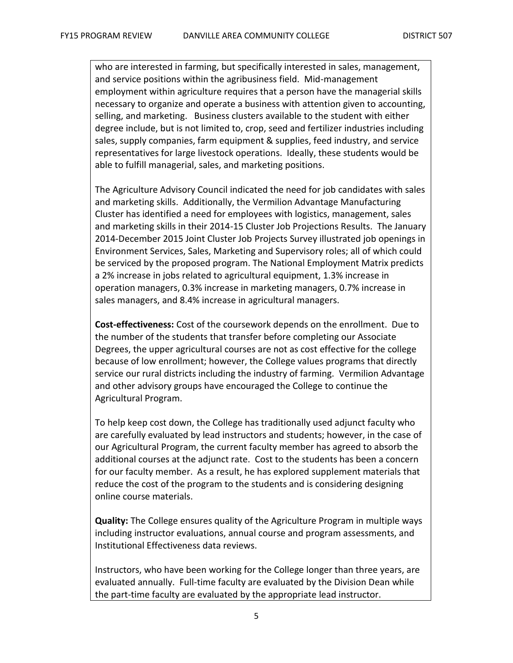who are interested in farming, but specifically interested in sales, management, and service positions within the agribusiness field. Mid-management employment within agriculture requires that a person have the managerial skills necessary to organize and operate a business with attention given to accounting, selling, and marketing. Business clusters available to the student with either degree include, but is not limited to, crop, seed and fertilizer industries including sales, supply companies, farm equipment & supplies, feed industry, and service representatives for large livestock operations. Ideally, these students would be able to fulfill managerial, sales, and marketing positions.

The Agriculture Advisory Council indicated the need for job candidates with sales and marketing skills. Additionally, the Vermilion Advantage Manufacturing Cluster has identified a need for employees with logistics, management, sales and marketing skills in their 2014-15 Cluster Job Projections Results. The January 2014-December 2015 Joint Cluster Job Projects Survey illustrated job openings in Environment Services, Sales, Marketing and Supervisory roles; all of which could be serviced by the proposed program. The National Employment Matrix predicts a 2% increase in jobs related to agricultural equipment, 1.3% increase in operation managers, 0.3% increase in marketing managers, 0.7% increase in sales managers, and 8.4% increase in agricultural managers.

**Cost-effectiveness:** Cost of the coursework depends on the enrollment. Due to the number of the students that transfer before completing our Associate Degrees, the upper agricultural courses are not as cost effective for the college because of low enrollment; however, the College values programs that directly service our rural districts including the industry of farming. Vermilion Advantage and other advisory groups have encouraged the College to continue the Agricultural Program.

To help keep cost down, the College has traditionally used adjunct faculty who are carefully evaluated by lead instructors and students; however, in the case of our Agricultural Program, the current faculty member has agreed to absorb the additional courses at the adjunct rate. Cost to the students has been a concern for our faculty member. As a result, he has explored supplement materials that reduce the cost of the program to the students and is considering designing online course materials.

**Quality:** The College ensures quality of the Agriculture Program in multiple ways including instructor evaluations, annual course and program assessments, and Institutional Effectiveness data reviews.

Instructors, who have been working for the College longer than three years, are evaluated annually. Full-time faculty are evaluated by the Division Dean while the part-time faculty are evaluated by the appropriate lead instructor.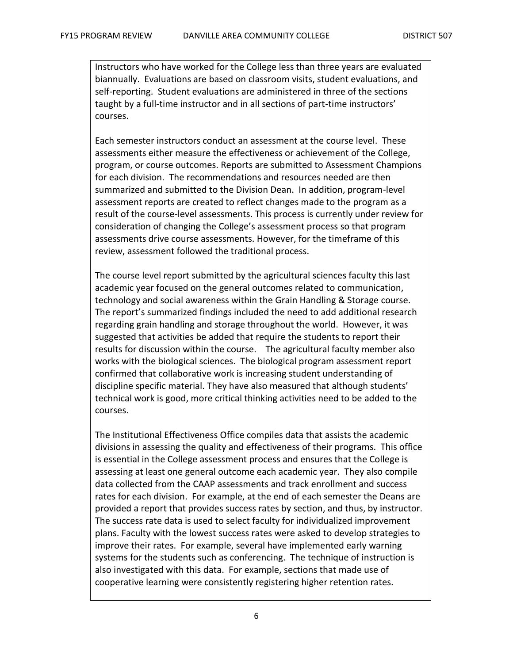Instructors who have worked for the College less than three years are evaluated biannually. Evaluations are based on classroom visits, student evaluations, and self-reporting. Student evaluations are administered in three of the sections taught by a full-time instructor and in all sections of part-time instructors' courses.

Each semester instructors conduct an assessment at the course level. These assessments either measure the effectiveness or achievement of the College, program, or course outcomes. Reports are submitted to Assessment Champions for each division. The recommendations and resources needed are then summarized and submitted to the Division Dean. In addition, program-level assessment reports are created to reflect changes made to the program as a result of the course-level assessments. This process is currently under review for consideration of changing the College's assessment process so that program assessments drive course assessments. However, for the timeframe of this review, assessment followed the traditional process.

The course level report submitted by the agricultural sciences faculty this last academic year focused on the general outcomes related to communication, technology and social awareness within the Grain Handling & Storage course. The report's summarized findings included the need to add additional research regarding grain handling and storage throughout the world. However, it was suggested that activities be added that require the students to report their results for discussion within the course. The agricultural faculty member also works with the biological sciences. The biological program assessment report confirmed that collaborative work is increasing student understanding of discipline specific material. They have also measured that although students' technical work is good, more critical thinking activities need to be added to the courses.

The Institutional Effectiveness Office compiles data that assists the academic divisions in assessing the quality and effectiveness of their programs. This office is essential in the College assessment process and ensures that the College is assessing at least one general outcome each academic year. They also compile data collected from the CAAP assessments and track enrollment and success rates for each division. For example, at the end of each semester the Deans are provided a report that provides success rates by section, and thus, by instructor. The success rate data is used to select faculty for individualized improvement plans. Faculty with the lowest success rates were asked to develop strategies to improve their rates. For example, several have implemented early warning systems for the students such as conferencing. The technique of instruction is also investigated with this data. For example, sections that made use of cooperative learning were consistently registering higher retention rates.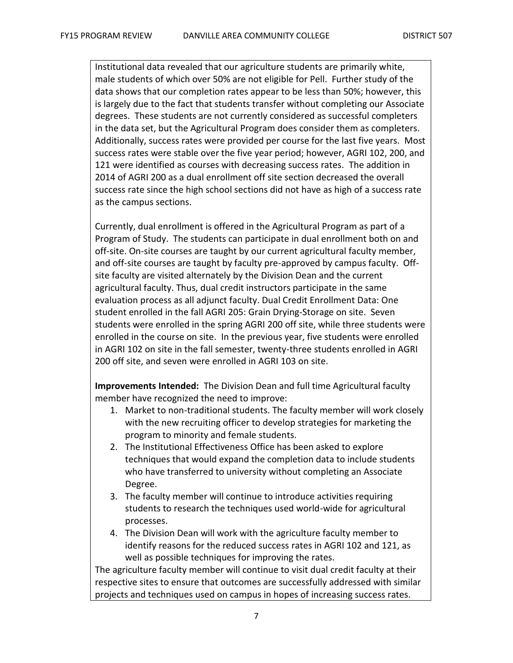Institutional data revealed that our agriculture students are primarily white, male students of which over 50% are not eligible for Pell. Further study of the data shows that our completion rates appear to be less than 50%; however, this is largely due to the fact that students transfer without completing our Associate degrees. These students are not currently considered as successful completers in the data set, but the Agricultural Program does consider them as completers. Additionally, success rates were provided per course for the last five years. Most success rates were stable over the five year period; however, AGRI 102, 200, and 121 were identified as courses with decreasing success rates. The addition in 2014 of AGRI 200 as a dual enrollment off site section decreased the overall success rate since the high school sections did not have as high of a success rate as the campus sections.

Currently, dual enrollment is offered in the Agricultural Program as part of a Program of Study. The students can participate in dual enrollment both on and off-site. On-site courses are taught by our current agricultural faculty member, and off-site courses are taught by faculty pre-approved by campus faculty. Offsite faculty are visited alternately by the Division Dean and the current agricultural faculty. Thus, dual credit instructors participate in the same evaluation process as all adjunct faculty. Dual Credit Enrollment Data: One student enrolled in the fall AGRI 205: Grain Drying-Storage on site. Seven students were enrolled in the spring AGRI 200 off site, while three students were enrolled in the course on site. In the previous year, five students were enrolled in AGRI 102 on site in the fall semester, twenty-three students enrolled in AGRI 200 off site, and seven were enrolled in AGRI 103 on site.

**Improvements Intended:** The Division Dean and full time Agricultural faculty member have recognized the need to improve:

- 1. Market to non-traditional students. The faculty member will work closely with the new recruiting officer to develop strategies for marketing the program to minority and female students.
- 2. The Institutional Effectiveness Office has been asked to explore techniques that would expand the completion data to include students who have transferred to university without completing an Associate Degree.
- 3. The faculty member will continue to introduce activities requiring students to research the techniques used world-wide for agricultural processes.
- 4. The Division Dean will work with the agriculture faculty member to identify reasons for the reduced success rates in AGRI 102 and 121, as well as possible techniques for improving the rates.

The agriculture faculty member will continue to visit dual credit faculty at their respective sites to ensure that outcomes are successfully addressed with similar projects and techniques used on campus in hopes of increasing success rates.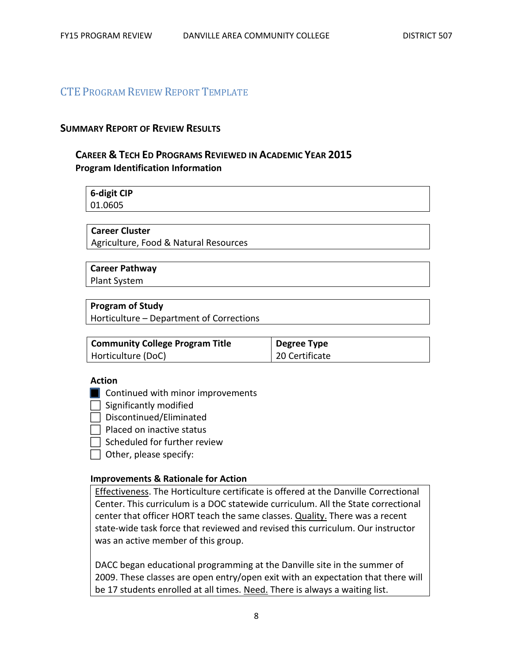### CTE PROGRAM REVIEW REPORT TEMPLATE

#### **SUMMARY REPORT OF REVIEW RESULTS**

### **CAREER & TECH ED PROGRAMS REVIEWED IN ACADEMIC YEAR 2015 Program Identification Information**

| 6-digit CIP |  |
|-------------|--|
| 01.0605     |  |

#### **Career Cluster**

Agriculture, Food & Natural Resources

#### **Career Pathway**

Plant System

#### **Program of Study**

Horticulture – Department of Corrections

| <b>Community College Program Title</b> | Degree Type    |
|----------------------------------------|----------------|
| Horticulture (DoC)                     | 20 Certificate |

#### **Action**

- **Continued with minor improvements**
- $\Box$  Significantly modified
- $\Box$  Discontinued/Eliminated
- Placed on inactive status
- $\Box$  Scheduled for further review
- $\Box$  Other, please specify:

#### **Improvements & Rationale for Action**

Effectiveness. The Horticulture certificate is offered at the Danville Correctional Center. This curriculum is a DOC statewide curriculum. All the State correctional center that officer HORT teach the same classes. Quality. There was a recent state-wide task force that reviewed and revised this curriculum. Our instructor was an active member of this group.

DACC began educational programming at the Danville site in the summer of 2009. These classes are open entry/open exit with an expectation that there will be 17 students enrolled at all times. Need. There is always a waiting list.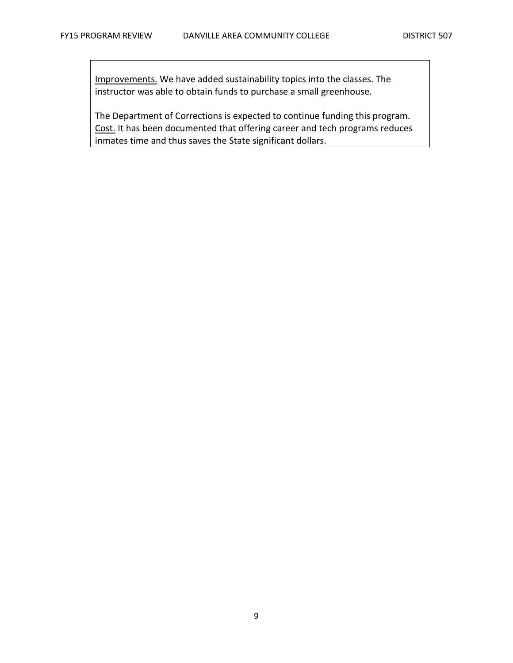Improvements. We have added sustainability topics into the classes. The instructor was able to obtain funds to purchase a small greenhouse.

The Department of Corrections is expected to continue funding this program. Cost. It has been documented that offering career and tech programs reduces inmates time and thus saves the State significant dollars.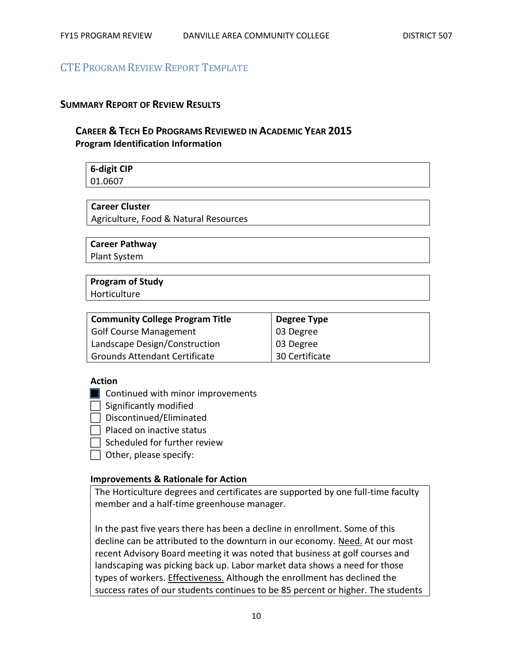# CTE PROGRAM REVIEW REPORT TEMPLATE

#### **SUMMARY REPORT OF REVIEW RESULTS**

# **CAREER & TECH ED PROGRAMS REVIEWED IN ACADEMIC YEAR 2015 Program Identification Information**

**6-digit CIP** 01.0607

#### **Career Cluster**

Agriculture, Food & Natural Resources

#### **Career Pathway**

Plant System

### **Program of Study**

Horticulture

| <b>Community College Program Title</b> | Degree Type    |
|----------------------------------------|----------------|
| <b>Golf Course Management</b>          | 03 Degree      |
| Landscape Design/Construction          | 03 Degree      |
| <b>Grounds Attendant Certificate</b>   | 30 Certificate |

#### **Action**

**Continued with minor improvements** 

 $\Box$  Significantly modified

 $\Box$  Discontinued/Eliminated

 $\Box$  Placed on inactive status

Scheduled for further review

 $\Box$  Other, please specify:

#### **Improvements & Rationale for Action**

The Horticulture degrees and certificates are supported by one full-time faculty member and a half-time greenhouse manager.

In the past five years there has been a decline in enrollment. Some of this decline can be attributed to the downturn in our economy. Need. At our most recent Advisory Board meeting it was noted that business at golf courses and landscaping was picking back up. Labor market data shows a need for those types of workers. Effectiveness. Although the enrollment has declined the success rates of our students continues to be 85 percent or higher. The students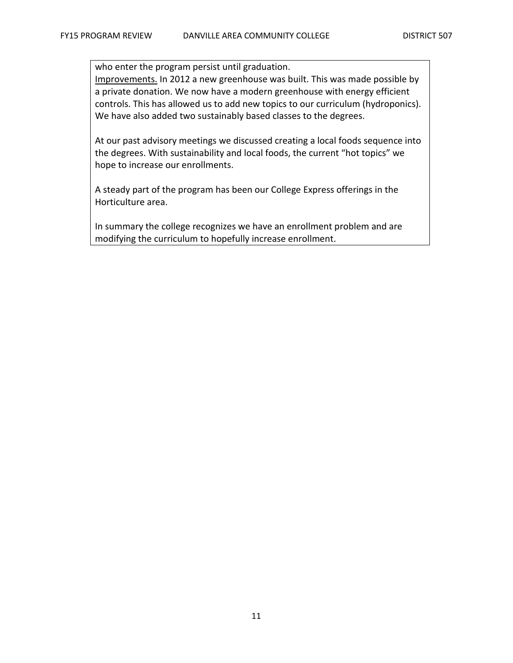who enter the program persist until graduation. Improvements. In 2012 a new greenhouse was built. This was made possible by a private donation. We now have a modern greenhouse with energy efficient controls. This has allowed us to add new topics to our curriculum (hydroponics). We have also added two sustainably based classes to the degrees.

At our past advisory meetings we discussed creating a local foods sequence into the degrees. With sustainability and local foods, the current "hot topics" we hope to increase our enrollments.

A steady part of the program has been our College Express offerings in the Horticulture area.

In summary the college recognizes we have an enrollment problem and are modifying the curriculum to hopefully increase enrollment.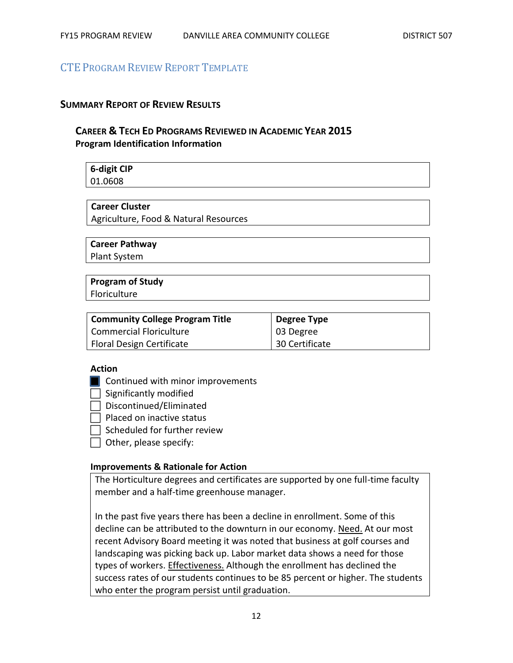# CTE PROGRAM REVIEW REPORT TEMPLATE

#### **SUMMARY REPORT OF REVIEW RESULTS**

# **CAREER & TECH ED PROGRAMS REVIEWED IN ACADEMIC YEAR 2015 Program Identification Information**

# **6-digit CIP**

01.0608

### **Career Cluster**

Agriculture, Food & Natural Resources

#### **Career Pathway**

Plant System

#### **Program of Study**

**Floriculture** 

| <b>Community College Program Title</b> | Degree Type    |
|----------------------------------------|----------------|
| <b>Commercial Floriculture</b>         | 03 Degree      |
| Floral Design Certificate              | 30 Certificate |

#### **Action**

**Continued with minor improvements** 

 $\Box$  Significantly modified

 $\Box$  Discontinued/Eliminated

 $\Box$  Placed on inactive status

 $\Box$  Scheduled for further review

 $\Box$  Other, please specify:

#### **Improvements & Rationale for Action**

The Horticulture degrees and certificates are supported by one full-time faculty member and a half-time greenhouse manager.

In the past five years there has been a decline in enrollment. Some of this decline can be attributed to the downturn in our economy. Need. At our most recent Advisory Board meeting it was noted that business at golf courses and landscaping was picking back up. Labor market data shows a need for those types of workers. Effectiveness. Although the enrollment has declined the success rates of our students continues to be 85 percent or higher. The students who enter the program persist until graduation.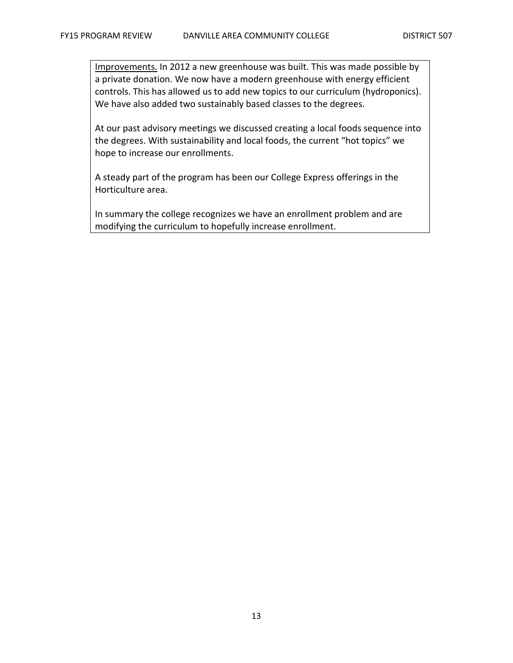Improvements. In 2012 a new greenhouse was built. This was made possible by a private donation. We now have a modern greenhouse with energy efficient controls. This has allowed us to add new topics to our curriculum (hydroponics). We have also added two sustainably based classes to the degrees.

At our past advisory meetings we discussed creating a local foods sequence into the degrees. With sustainability and local foods, the current "hot topics" we hope to increase our enrollments.

A steady part of the program has been our College Express offerings in the Horticulture area.

In summary the college recognizes we have an enrollment problem and are modifying the curriculum to hopefully increase enrollment.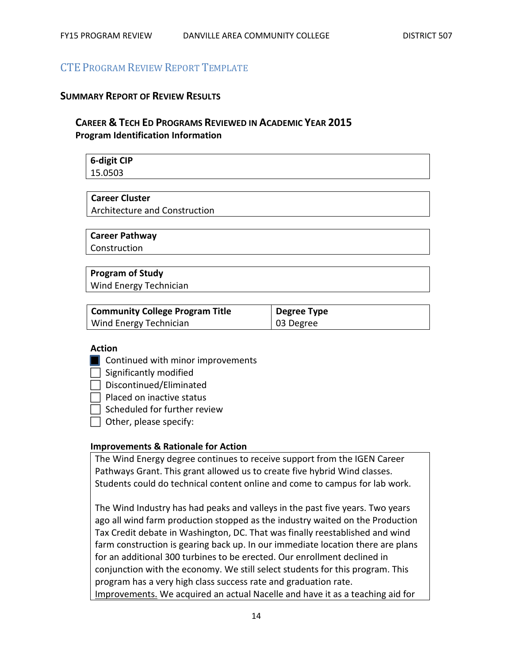# CTE PROGRAM REVIEW REPORT TEMPLATE

#### **SUMMARY REPORT OF REVIEW RESULTS**

# **CAREER & TECH ED PROGRAMS REVIEWED IN ACADEMIC YEAR 2015 Program Identification Information**

**6-digit CIP** 15.0503

#### **Career Cluster**

Architecture and Construction

#### **Career Pathway**

**Construction** 

### **Program of Study**

Wind Energy Technician

| <b>Community College Program Title</b> | Degree Type |
|----------------------------------------|-------------|
| Wind Energy Technician                 | 03 Degree   |

#### **Action**

- **Continued with minor improvements**
- $\Box$  Significantly modified
- $\Box$  Discontinued/Eliminated

 $\Box$  Placed on inactive status

 $\sqsupset$  Scheduled for further review

 $\Box$  Other, please specify:

#### **Improvements & Rationale for Action**

The Wind Energy degree continues to receive support from the IGEN Career Pathways Grant. This grant allowed us to create five hybrid Wind classes. Students could do technical content online and come to campus for lab work.

The Wind Industry has had peaks and valleys in the past five years. Two years ago all wind farm production stopped as the industry waited on the Production Tax Credit debate in Washington, DC. That was finally reestablished and wind farm construction is gearing back up. In our immediate location there are plans for an additional 300 turbines to be erected. Our enrollment declined in conjunction with the economy. We still select students for this program. This program has a very high class success rate and graduation rate. Improvements. We acquired an actual Nacelle and have it as a teaching aid for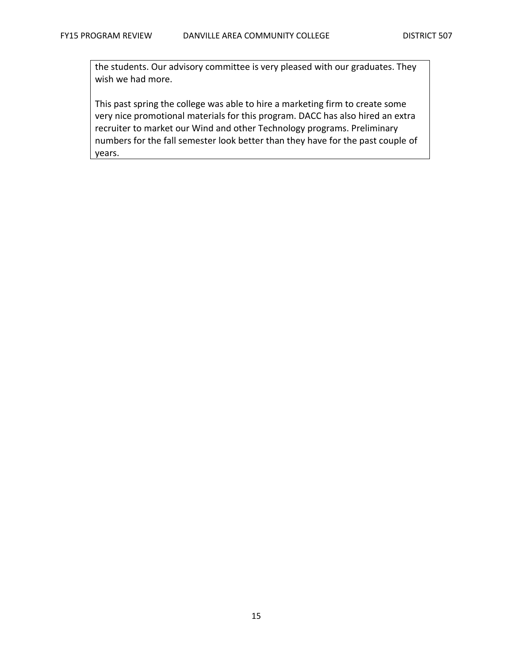the students. Our advisory committee is very pleased with our graduates. They wish we had more.

This past spring the college was able to hire a marketing firm to create some very nice promotional materials for this program. DACC has also hired an extra recruiter to market our Wind and other Technology programs. Preliminary numbers for the fall semester look better than they have for the past couple of years.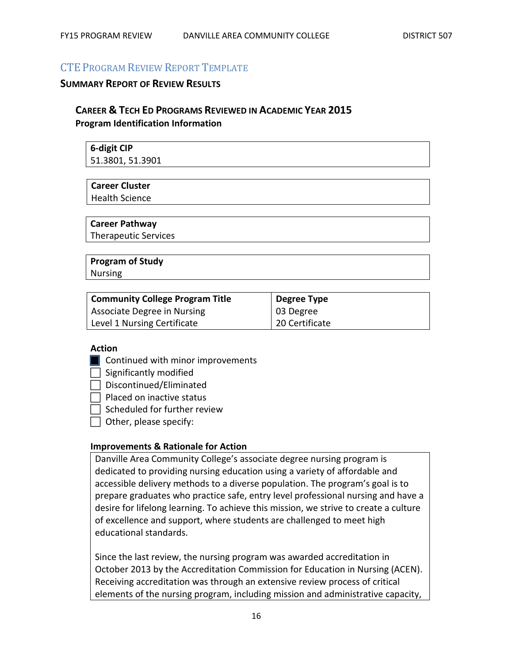# CTE PROGRAM REVIEW REPORT TEMPLATE

#### **SUMMARY REPORT OF REVIEW RESULTS**

# **CAREER & TECH ED PROGRAMS REVIEWED IN ACADEMIC YEAR 2015 Program Identification Information**

| 6-digit CIP      |  |
|------------------|--|
| 51.3801, 51.3901 |  |

#### **Career Cluster**

Health Science

#### **Career Pathway**

Therapeutic Services

#### **Program of Study** Nursing

| <b>Community College Program Title</b> | <b>Degree Type</b> |
|----------------------------------------|--------------------|
| Associate Degree in Nursing            | $\vert$ 03 Degree  |
| Level 1 Nursing Certificate            | 20 Certificate     |

#### **Action**

- **Continued with minor improvements**
- $\Box$  Significantly modified
- $\Box$  Discontinued/Eliminated

 $\Box$  Placed on inactive status

- $\Box$  Scheduled for further review
- $\Box$  Other, please specify:

#### **Improvements & Rationale for Action**

Danville Area Community College's associate degree nursing program is dedicated to providing nursing education using a variety of affordable and accessible delivery methods to a diverse population. The program's goal is to prepare graduates who practice safe, entry level professional nursing and have a desire for lifelong learning. To achieve this mission, we strive to create a culture of excellence and support, where students are challenged to meet high educational standards.

Since the last review, the nursing program was awarded accreditation in October 2013 by the Accreditation Commission for Education in Nursing (ACEN). Receiving accreditation was through an extensive review process of critical elements of the nursing program, including mission and administrative capacity,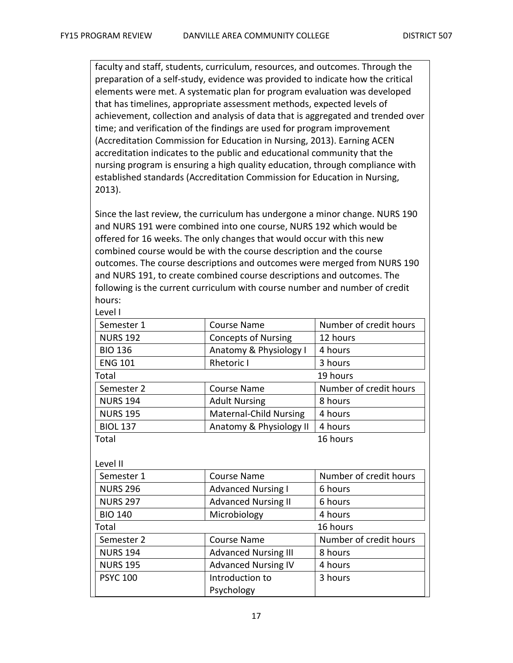faculty and staff, students, curriculum, resources, and outcomes. Through the preparation of a self-study, evidence was provided to indicate how the critical elements were met. A systematic plan for program evaluation was developed that has timelines, appropriate assessment methods, expected levels of achievement, collection and analysis of data that is aggregated and trended over time; and verification of the findings are used for program improvement (Accreditation Commission for Education in Nursing, 2013). Earning ACEN accreditation indicates to the public and educational community that the nursing program is ensuring a high quality education, through compliance with established standards (Accreditation Commission for Education in Nursing, 2013).

Since the last review, the curriculum has undergone a minor change. NURS 190 and NURS 191 were combined into one course, NURS 192 which would be offered for 16 weeks. The only changes that would occur with this new combined course would be with the course description and the course outcomes. The course descriptions and outcomes were merged from NURS 190 and NURS 191, to create combined course descriptions and outcomes. The following is the current curriculum with course number and number of credit hours:

| Level I         |                               |                        |
|-----------------|-------------------------------|------------------------|
| Semester 1      | <b>Course Name</b>            | Number of credit hours |
| <b>NURS 192</b> | <b>Concepts of Nursing</b>    | 12 hours               |
| <b>BIO 136</b>  | Anatomy & Physiology I        | 4 hours                |
| <b>ENG 101</b>  | <b>Rhetoric I</b>             | 3 hours                |
| Total           |                               | 19 hours               |
| Semester 2      | <b>Course Name</b>            | Number of credit hours |
| <b>NURS 194</b> | <b>Adult Nursing</b>          | 8 hours                |
| <b>NURS 195</b> | <b>Maternal-Child Nursing</b> | 4 hours                |
| <b>BIOL 137</b> | Anatomy & Physiology II       | 4 hours                |
| Total           |                               | 16 hours               |
|                 |                               |                        |
| Level II        |                               |                        |
|                 |                               |                        |

| Semester 1      | <b>Course Name</b>          | Number of credit hours |
|-----------------|-----------------------------|------------------------|
| <b>NURS 296</b> | <b>Advanced Nursing I</b>   | 6 hours                |
| <b>NURS 297</b> | <b>Advanced Nursing II</b>  | 6 hours                |
| <b>BIO 140</b>  | Microbiology                | 4 hours                |
| Total           |                             | 16 hours               |
| Semester 2      | <b>Course Name</b>          | Number of credit hours |
| <b>NURS 194</b> | <b>Advanced Nursing III</b> | 8 hours                |
| <b>NURS 195</b> | <b>Advanced Nursing IV</b>  | 4 hours                |
| <b>PSYC 100</b> | Introduction to             | 3 hours                |
|                 | Psychology                  |                        |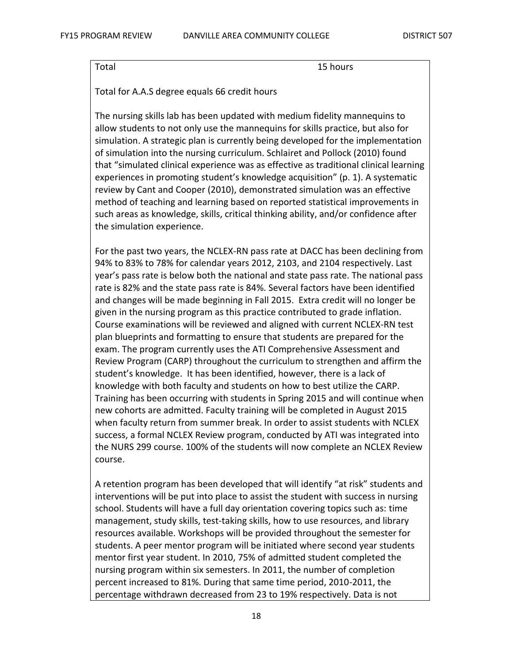Total 15 hours

Total for A.A.S degree equals 66 credit hours

The nursing skills lab has been updated with medium fidelity mannequins to allow students to not only use the mannequins for skills practice, but also for simulation. A strategic plan is currently being developed for the implementation of simulation into the nursing curriculum. Schlairet and Pollock (2010) found that "simulated clinical experience was as effective as traditional clinical learning experiences in promoting student's knowledge acquisition" (p. 1). A systematic review by Cant and Cooper (2010), demonstrated simulation was an effective method of teaching and learning based on reported statistical improvements in such areas as knowledge, skills, critical thinking ability, and/or confidence after the simulation experience.

For the past two years, the NCLEX-RN pass rate at DACC has been declining from 94% to 83% to 78% for calendar years 2012, 2103, and 2104 respectively. Last year's pass rate is below both the national and state pass rate. The national pass rate is 82% and the state pass rate is 84%. Several factors have been identified and changes will be made beginning in Fall 2015. Extra credit will no longer be given in the nursing program as this practice contributed to grade inflation. Course examinations will be reviewed and aligned with current NCLEX-RN test plan blueprints and formatting to ensure that students are prepared for the exam. The program currently uses the ATI Comprehensive Assessment and Review Program (CARP) throughout the curriculum to strengthen and affirm the student's knowledge. It has been identified, however, there is a lack of knowledge with both faculty and students on how to best utilize the CARP. Training has been occurring with students in Spring 2015 and will continue when new cohorts are admitted. Faculty training will be completed in August 2015 when faculty return from summer break. In order to assist students with NCLEX success, a formal NCLEX Review program, conducted by ATI was integrated into the NURS 299 course. 100% of the students will now complete an NCLEX Review course.

A retention program has been developed that will identify "at risk" students and interventions will be put into place to assist the student with success in nursing school. Students will have a full day orientation covering topics such as: time management, study skills, test-taking skills, how to use resources, and library resources available. Workshops will be provided throughout the semester for students. A peer mentor program will be initiated where second year students mentor first year student. In 2010, 75% of admitted student completed the nursing program within six semesters. In 2011, the number of completion percent increased to 81%. During that same time period, 2010-2011, the percentage withdrawn decreased from 23 to 19% respectively. Data is not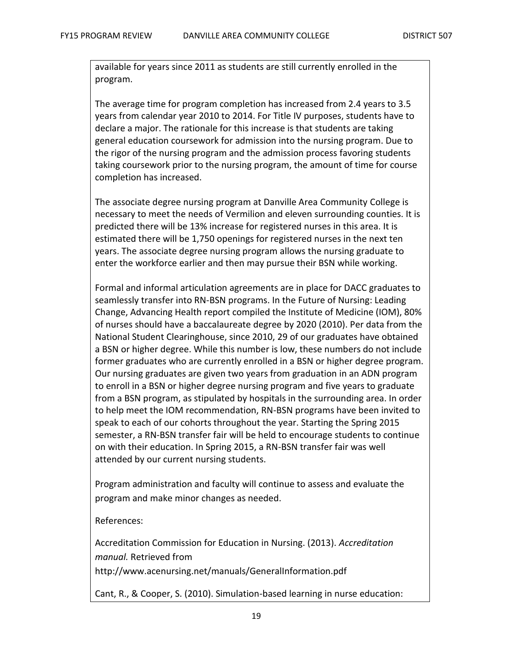available for years since 2011 as students are still currently enrolled in the program.

The average time for program completion has increased from 2.4 years to 3.5 years from calendar year 2010 to 2014. For Title IV purposes, students have to declare a major. The rationale for this increase is that students are taking general education coursework for admission into the nursing program. Due to the rigor of the nursing program and the admission process favoring students taking coursework prior to the nursing program, the amount of time for course completion has increased.

The associate degree nursing program at Danville Area Community College is necessary to meet the needs of Vermilion and eleven surrounding counties. It is predicted there will be 13% increase for registered nurses in this area. It is estimated there will be 1,750 openings for registered nurses in the next ten years. The associate degree nursing program allows the nursing graduate to enter the workforce earlier and then may pursue their BSN while working.

Formal and informal articulation agreements are in place for DACC graduates to seamlessly transfer into RN-BSN programs. In the Future of Nursing: Leading Change, Advancing Health report compiled the Institute of Medicine (IOM), 80% of nurses should have a baccalaureate degree by 2020 (2010). Per data from the National Student Clearinghouse, since 2010, 29 of our graduates have obtained a BSN or higher degree. While this number is low, these numbers do not include former graduates who are currently enrolled in a BSN or higher degree program. Our nursing graduates are given two years from graduation in an ADN program to enroll in a BSN or higher degree nursing program and five years to graduate from a BSN program, as stipulated by hospitals in the surrounding area. In order to help meet the IOM recommendation, RN-BSN programs have been invited to speak to each of our cohorts throughout the year. Starting the Spring 2015 semester, a RN-BSN transfer fair will be held to encourage students to continue on with their education. In Spring 2015, a RN-BSN transfer fair was well attended by our current nursing students.

Program administration and faculty will continue to assess and evaluate the program and make minor changes as needed.

#### References:

Accreditation Commission for Education in Nursing. (2013). *Accreditation manual.* Retrieved from

http://www.acenursing.net/manuals/GeneralInformation.pdf

Cant, R., & Cooper, S. (2010). Simulation-based learning in nurse education: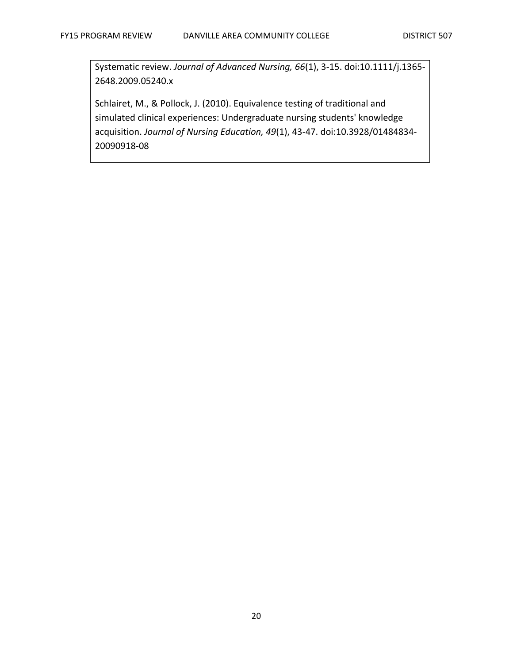Systematic review. *Journal of Advanced Nursing, 66*(1), 3-15. doi:10.1111/j.1365- 2648.2009.05240.x

Schlairet, M., & Pollock, J. (2010). Equivalence testing of traditional and simulated clinical experiences: Undergraduate nursing students' knowledge acquisition. *Journal of Nursing Education, 49*(1), 43-47. doi:10.3928/01484834- 20090918-08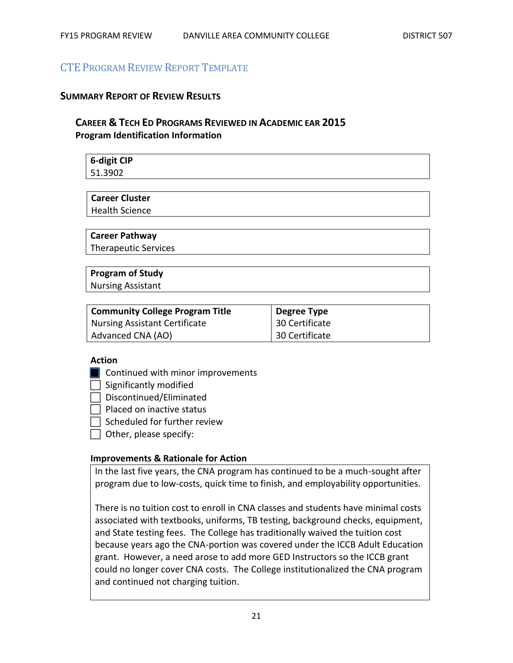# CTE PROGRAM REVIEW REPORT TEMPLATE

#### **SUMMARY REPORT OF REVIEW RESULTS**

# **CAREER & TECH ED PROGRAMS REVIEWED IN ACADEMIC EAR 2015 Program Identification Information**

| 6-digit CIP |  |  |
|-------------|--|--|
| 51.3902     |  |  |

#### **Career Cluster**

Health Science

#### **Career Pathway**

Therapeutic Services

# **Program of Study**

Nursing Assistant

| <b>Community College Program Title</b> | Degree Type    |
|----------------------------------------|----------------|
| <b>Nursing Assistant Certificate</b>   | 30 Certificate |
| Advanced CNA (AO)                      | 30 Certificate |

#### **Action**

- **Continued with minor improvements**
- $\Box$  Significantly modified
- $\Box$  Discontinued/Eliminated
- $\Box$  Placed on inactive status
- $\Box$  Scheduled for further review
- $\Box$  Other, please specify:

#### **Improvements & Rationale for Action**

In the last five years, the CNA program has continued to be a much-sought after program due to low-costs, quick time to finish, and employability opportunities.

There is no tuition cost to enroll in CNA classes and students have minimal costs associated with textbooks, uniforms, TB testing, background checks, equipment, and State testing fees. The College has traditionally waived the tuition cost because years ago the CNA-portion was covered under the ICCB Adult Education grant. However, a need arose to add more GED Instructors so the ICCB grant could no longer cover CNA costs. The College institutionalized the CNA program and continued not charging tuition.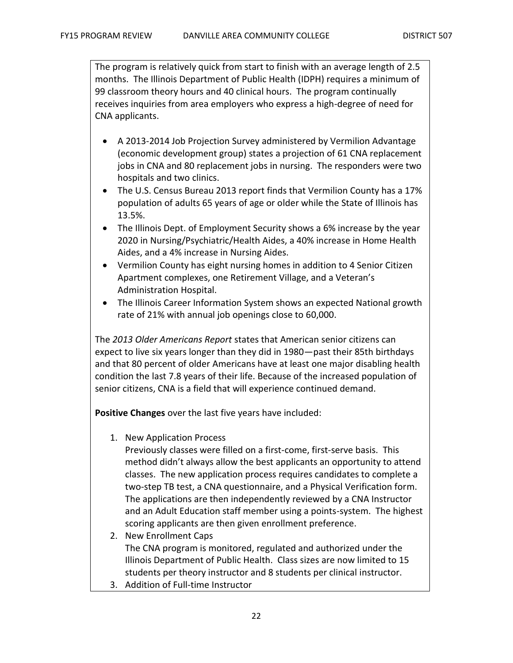The program is relatively quick from start to finish with an average length of 2.5 months. The Illinois Department of Public Health (IDPH) requires a minimum of 99 classroom theory hours and 40 clinical hours. The program continually receives inquiries from area employers who express a high-degree of need for CNA applicants.

- A 2013-2014 Job Projection Survey administered by Vermilion Advantage (economic development group) states a projection of 61 CNA replacement jobs in CNA and 80 replacement jobs in nursing. The responders were two hospitals and two clinics.
- The U.S. Census Bureau 2013 report finds that Vermilion County has a 17% population of adults 65 years of age or older while the State of Illinois has 13.5%.
- The Illinois Dept. of Employment Security shows a 6% increase by the year 2020 in Nursing/Psychiatric/Health Aides, a 40% increase in Home Health Aides, and a 4% increase in Nursing Aides.
- Vermilion County has eight nursing homes in addition to 4 Senior Citizen Apartment complexes, one Retirement Village, and a Veteran's Administration Hospital.
- The Illinois Career Information System shows an expected National growth rate of 21% with annual job openings close to 60,000.

The *2013 Older Americans Report* states that American senior citizens can expect to live six years longer than they did in 1980—past their 85th birthdays and that 80 percent of older Americans have at least one major disabling health condition the last 7.8 years of their life. Because of the increased population of senior citizens, CNA is a field that will experience continued demand.

**Positive Changes** over the last five years have included:

1. New Application Process

Previously classes were filled on a first-come, first-serve basis. This method didn't always allow the best applicants an opportunity to attend classes. The new application process requires candidates to complete a two-step TB test, a CNA questionnaire, and a Physical Verification form. The applications are then independently reviewed by a CNA Instructor and an Adult Education staff member using a points-system. The highest scoring applicants are then given enrollment preference.

- 2. New Enrollment Caps The CNA program is monitored, regulated and authorized under the Illinois Department of Public Health. Class sizes are now limited to 15 students per theory instructor and 8 students per clinical instructor.
- 3. Addition of Full-time Instructor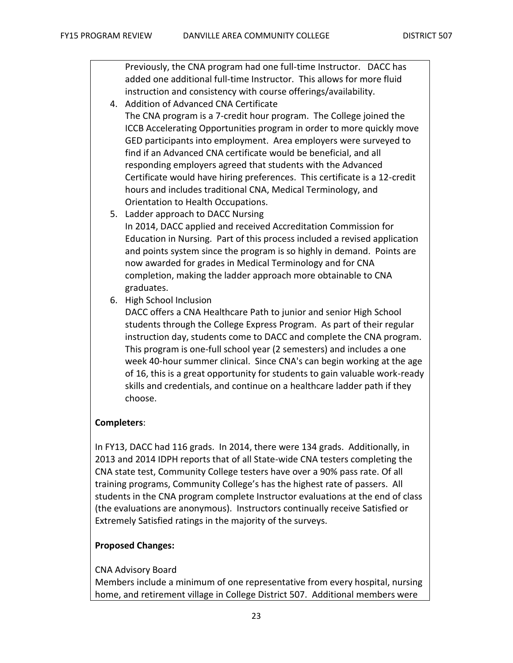Previously, the CNA program had one full-time Instructor. DACC has added one additional full-time Instructor. This allows for more fluid instruction and consistency with course offerings/availability.

- 4. Addition of Advanced CNA Certificate The CNA program is a 7-credit hour program. The College joined the ICCB Accelerating Opportunities program in order to more quickly move GED participants into employment. Area employers were surveyed to find if an Advanced CNA certificate would be beneficial, and all responding employers agreed that students with the Advanced Certificate would have hiring preferences. This certificate is a 12-credit hours and includes traditional CNA, Medical Terminology, and Orientation to Health Occupations.
- 5. Ladder approach to DACC Nursing In 2014, DACC applied and received Accreditation Commission for Education in Nursing. Part of this process included a revised application and points system since the program is so highly in demand. Points are now awarded for grades in Medical Terminology and for CNA completion, making the ladder approach more obtainable to CNA graduates.
- 6. High School Inclusion

DACC offers a CNA Healthcare Path to junior and senior High School students through the College Express Program. As part of their regular instruction day, students come to DACC and complete the CNA program. This program is one-full school year (2 semesters) and includes a one week 40-hour summer clinical. Since CNA's can begin working at the age of 16, this is a great opportunity for students to gain valuable work-ready skills and credentials, and continue on a healthcare ladder path if they choose.

#### **Completers**:

In FY13, DACC had 116 grads. In 2014, there were 134 grads. Additionally, in 2013 and 2014 IDPH reports that of all State-wide CNA testers completing the CNA state test, Community College testers have over a 90% pass rate. Of all training programs, Community College's has the highest rate of passers. All students in the CNA program complete Instructor evaluations at the end of class (the evaluations are anonymous). Instructors continually receive Satisfied or Extremely Satisfied ratings in the majority of the surveys.

#### **Proposed Changes:**

#### CNA Advisory Board

Members include a minimum of one representative from every hospital, nursing home, and retirement village in College District 507. Additional members were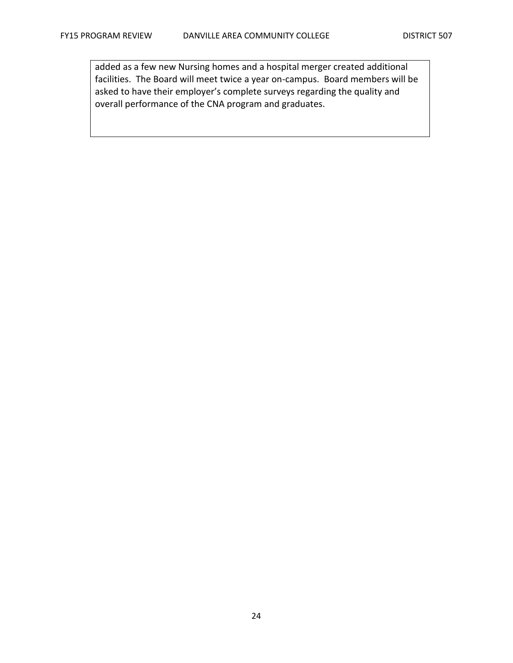added as a few new Nursing homes and a hospital merger created additional facilities. The Board will meet twice a year on-campus. Board members will be asked to have their employer's complete surveys regarding the quality and overall performance of the CNA program and graduates.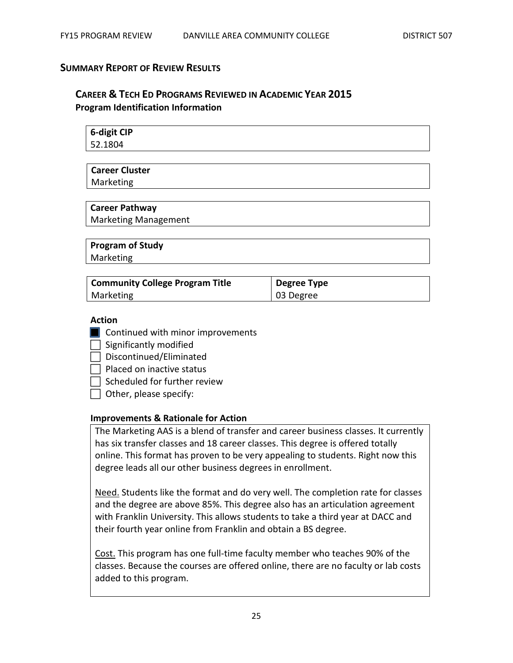#### **SUMMARY REPORT OF REVIEW RESULTS**

# **CAREER & TECH ED PROGRAMS REVIEWED IN ACADEMIC YEAR 2015 Program Identification Information**

| 6-digit CIP |  |
|-------------|--|
| 52.1804     |  |

# **Career Cluster**

Marketing

# **Career Pathway**

Marketing Management

# **Program of Study**

Marketing

| <b>Community College Program Title</b> | Degree Type |
|----------------------------------------|-------------|
| Marketing                              | 03 Degree   |

#### **Action**

- **Continued with minor improvements**
- $\Box$  Significantly modified
- Discontinued/Eliminated

 $\Box$  Placed on inactive status

 $\Box$  Scheduled for further review

 $\Box$  Other, please specify:

#### **Improvements & Rationale for Action**

The Marketing AAS is a blend of transfer and career business classes. It currently has six transfer classes and 18 career classes. This degree is offered totally online. This format has proven to be very appealing to students. Right now this degree leads all our other business degrees in enrollment.

Need. Students like the format and do very well. The completion rate for classes and the degree are above 85%. This degree also has an articulation agreement with Franklin University. This allows students to take a third year at DACC and their fourth year online from Franklin and obtain a BS degree.

Cost. This program has one full-time faculty member who teaches 90% of the classes. Because the courses are offered online, there are no faculty or lab costs added to this program.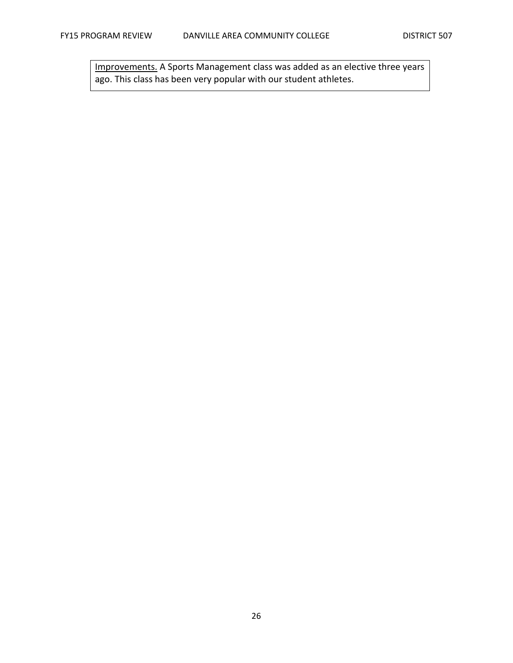Improvements. A Sports Management class was added as an elective three years ago. This class has been very popular with our student athletes.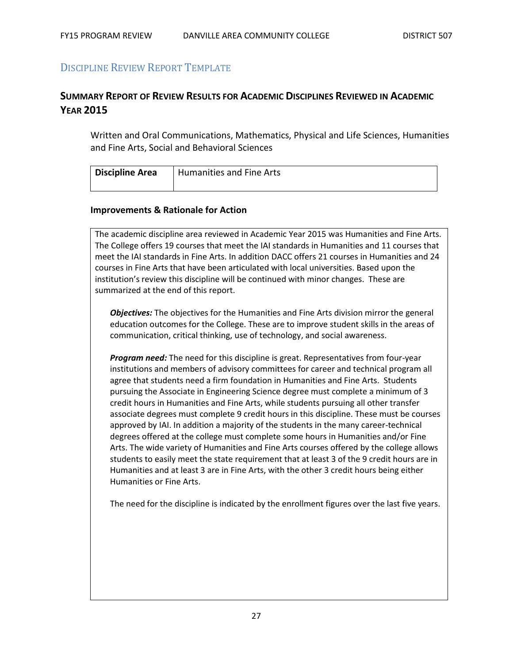# DISCIPLINE REVIEW REPORT TEMPLATE

# **SUMMARY REPORT OF REVIEW RESULTS FOR ACADEMIC DISCIPLINES REVIEWED IN ACADEMIC YEAR 2015**

Written and Oral Communications, Mathematics, Physical and Life Sciences, Humanities and Fine Arts, Social and Behavioral Sciences

| <b>Discipline Area</b> | Humanities and Fine Arts |
|------------------------|--------------------------|
|                        |                          |

#### **Improvements & Rationale for Action**

The academic discipline area reviewed in Academic Year 2015 was Humanities and Fine Arts. The College offers 19 courses that meet the IAI standards in Humanities and 11 courses that meet the IAI standards in Fine Arts. In addition DACC offers 21 courses in Humanities and 24 courses in Fine Arts that have been articulated with local universities. Based upon the institution's review this discipline will be continued with minor changes. These are summarized at the end of this report.

*Objectives:* The objectives for the Humanities and Fine Arts division mirror the general education outcomes for the College. These are to improve student skills in the areas of communication, critical thinking, use of technology, and social awareness.

*Program need:* The need for this discipline is great. Representatives from four-year institutions and members of advisory committees for career and technical program all agree that students need a firm foundation in Humanities and Fine Arts. Students pursuing the Associate in Engineering Science degree must complete a minimum of 3 credit hours in Humanities and Fine Arts, while students pursuing all other transfer associate degrees must complete 9 credit hours in this discipline. These must be courses approved by IAI. In addition a majority of the students in the many career-technical degrees offered at the college must complete some hours in Humanities and/or Fine Arts. The wide variety of Humanities and Fine Arts courses offered by the college allows students to easily meet the state requirement that at least 3 of the 9 credit hours are in Humanities and at least 3 are in Fine Arts, with the other 3 credit hours being either Humanities or Fine Arts.

The need for the discipline is indicated by the enrollment figures over the last five years.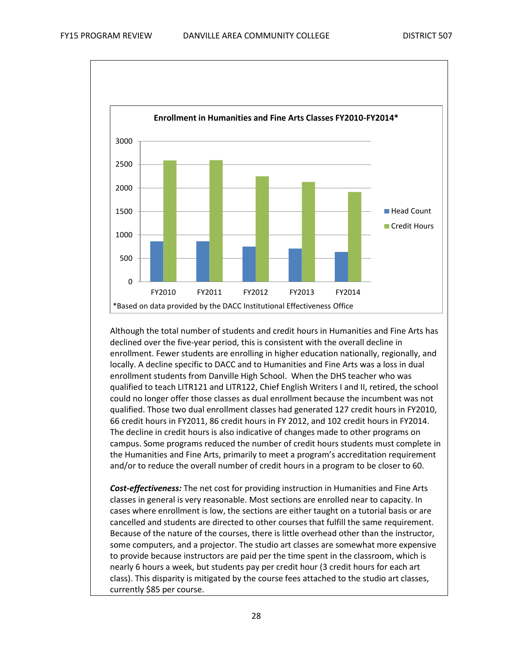

Although the total number of students and credit hours in Humanities and Fine Arts has declined over the five-year period, this is consistent with the overall decline in enrollment. Fewer students are enrolling in higher education nationally, regionally, and locally. A decline specific to DACC and to Humanities and Fine Arts was a loss in dual enrollment students from Danville High School. When the DHS teacher who was qualified to teach LITR121 and LITR122, Chief English Writers I and II, retired, the school could no longer offer those classes as dual enrollment because the incumbent was not qualified. Those two dual enrollment classes had generated 127 credit hours in FY2010, 66 credit hours in FY2011, 86 credit hours in FY 2012, and 102 credit hours in FY2014. The decline in credit hours is also indicative of changes made to other programs on campus. Some programs reduced the number of credit hours students must complete in the Humanities and Fine Arts, primarily to meet a program's accreditation requirement and/or to reduce the overall number of credit hours in a program to be closer to 60.

*Cost-effectiveness:* The net cost for providing instruction in Humanities and Fine Arts classes in general is very reasonable. Most sections are enrolled near to capacity. In cases where enrollment is low, the sections are either taught on a tutorial basis or are cancelled and students are directed to other courses that fulfill the same requirement. Because of the nature of the courses, there is little overhead other than the instructor, some computers, and a projector. The studio art classes are somewhat more expensive to provide because instructors are paid per the time spent in the classroom, which is nearly 6 hours a week, but students pay per credit hour (3 credit hours for each art class). This disparity is mitigated by the course fees attached to the studio art classes, currently \$85 per course.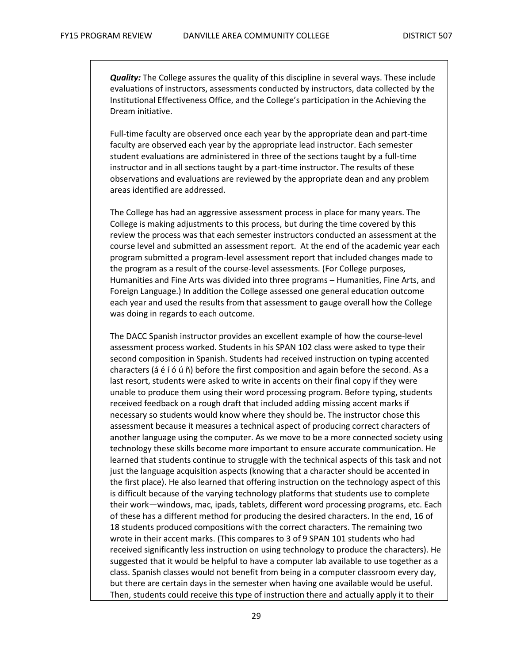*Quality:* The College assures the quality of this discipline in several ways. These include evaluations of instructors, assessments conducted by instructors, data collected by the Institutional Effectiveness Office, and the College's participation in the Achieving the Dream initiative.

Full-time faculty are observed once each year by the appropriate dean and part-time faculty are observed each year by the appropriate lead instructor. Each semester student evaluations are administered in three of the sections taught by a full-time instructor and in all sections taught by a part-time instructor. The results of these observations and evaluations are reviewed by the appropriate dean and any problem areas identified are addressed.

The College has had an aggressive assessment process in place for many years. The College is making adjustments to this process, but during the time covered by this review the process was that each semester instructors conducted an assessment at the course level and submitted an assessment report. At the end of the academic year each program submitted a program-level assessment report that included changes made to the program as a result of the course-level assessments. (For College purposes, Humanities and Fine Arts was divided into three programs – Humanities, Fine Arts, and Foreign Language.) In addition the College assessed one general education outcome each year and used the results from that assessment to gauge overall how the College was doing in regards to each outcome.

The DACC Spanish instructor provides an excellent example of how the course-level assessment process worked. Students in his SPAN 102 class were asked to type their second composition in Spanish. Students had received instruction on typing accented characters (á é í ó ú ñ) before the first composition and again before the second. As a last resort, students were asked to write in accents on their final copy if they were unable to produce them using their word processing program. Before typing, students received feedback on a rough draft that included adding missing accent marks if necessary so students would know where they should be. The instructor chose this assessment because it measures a technical aspect of producing correct characters of another language using the computer. As we move to be a more connected society using technology these skills become more important to ensure accurate communication. He learned that students continue to struggle with the technical aspects of this task and not just the language acquisition aspects (knowing that a character should be accented in the first place). He also learned that offering instruction on the technology aspect of this is difficult because of the varying technology platforms that students use to complete their work—windows, mac, ipads, tablets, different word processing programs, etc. Each of these has a different method for producing the desired characters. In the end, 16 of 18 students produced compositions with the correct characters. The remaining two wrote in their accent marks. (This compares to 3 of 9 SPAN 101 students who had received significantly less instruction on using technology to produce the characters). He suggested that it would be helpful to have a computer lab available to use together as a class. Spanish classes would not benefit from being in a computer classroom every day, but there are certain days in the semester when having one available would be useful. Then, students could receive this type of instruction there and actually apply it to their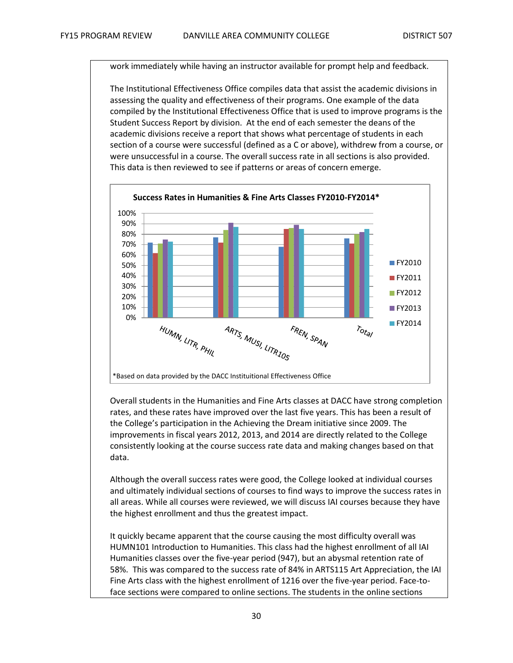work immediately while having an instructor available for prompt help and feedback.

The Institutional Effectiveness Office compiles data that assist the academic divisions in assessing the quality and effectiveness of their programs. One example of the data compiled by the Institutional Effectiveness Office that is used to improve programs is the Student Success Report by division. At the end of each semester the deans of the academic divisions receive a report that shows what percentage of students in each section of a course were successful (defined as a C or above), withdrew from a course, or were unsuccessful in a course. The overall success rate in all sections is also provided. This data is then reviewed to see if patterns or areas of concern emerge.



Overall students in the Humanities and Fine Arts classes at DACC have strong completion rates, and these rates have improved over the last five years. This has been a result of the College's participation in the Achieving the Dream initiative since 2009. The improvements in fiscal years 2012, 2013, and 2014 are directly related to the College consistently looking at the course success rate data and making changes based on that data.

Although the overall success rates were good, the College looked at individual courses and ultimately individual sections of courses to find ways to improve the success rates in all areas. While all courses were reviewed, we will discuss IAI courses because they have the highest enrollment and thus the greatest impact.

It quickly became apparent that the course causing the most difficulty overall was HUMN101 Introduction to Humanities. This class had the highest enrollment of all IAI Humanities classes over the five-year period (947), but an abysmal retention rate of 58%. This was compared to the success rate of 84% in ARTS115 Art Appreciation, the IAI Fine Arts class with the highest enrollment of 1216 over the five-year period. Face-toface sections were compared to online sections. The students in the online sections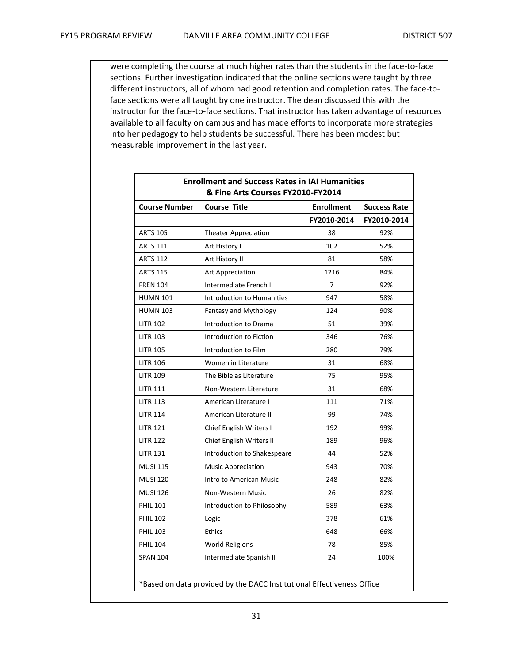were completing the course at much higher rates than the students in the face-to-face sections. Further investigation indicated that the online sections were taught by three different instructors, all of whom had good retention and completion rates. The face-toface sections were all taught by one instructor. The dean discussed this with the instructor for the face-to-face sections. That instructor has taken advantage of resources available to all faculty on campus and has made efforts to incorporate more strategies into her pedagogy to help students be successful. There has been modest but measurable improvement in the last year.

| <b>Course Number</b> | <b>Course Title</b>               | <b>Enrollment</b> | <b>Success Rate</b> |
|----------------------|-----------------------------------|-------------------|---------------------|
|                      |                                   | FY2010-2014       | FY2010-2014         |
| <b>ARTS 105</b>      | <b>Theater Appreciation</b>       | 38                | 92%                 |
| <b>ARTS 111</b>      | Art History I                     | 102               | 52%                 |
| <b>ARTS 112</b>      | Art History II                    | 81                | 58%                 |
| <b>ARTS 115</b>      | Art Appreciation                  | 1216              | 84%                 |
| <b>FREN 104</b>      | Intermediate French II            | 7                 | 92%                 |
| <b>HUMN 101</b>      | <b>Introduction to Humanities</b> | 947               | 58%                 |
| <b>HUMN 103</b>      | <b>Fantasy and Mythology</b>      | 124               | 90%                 |
| <b>LITR 102</b>      | Introduction to Drama             | 51                | 39%                 |
| <b>LITR 103</b>      | Introduction to Fiction           | 346               | 76%                 |
| <b>LITR 105</b>      | Introduction to Film              | 280               | 79%                 |
| <b>LITR 106</b>      | Women in Literature               | 31                | 68%                 |
| <b>LITR 109</b>      | The Bible as Literature           | 75                | 95%                 |
| <b>LITR 111</b>      | Non-Western Literature            | 31                | 68%                 |
| <b>LITR 113</b>      | American Literature I             | 111               | 71%                 |
| <b>LITR 114</b>      | American Literature II            | 99                | 74%                 |
| <b>LITR 121</b>      | Chief English Writers I           | 192               | 99%                 |
| <b>LITR 122</b>      | Chief English Writers II          | 189               | 96%                 |
| <b>LITR 131</b>      | Introduction to Shakespeare       | 44                | 52%                 |
| <b>MUSI 115</b>      | <b>Music Appreciation</b>         | 943               | 70%                 |
| <b>MUSI 120</b>      | Intro to American Music           | 248               | 82%                 |
| <b>MUSI 126</b>      | Non-Western Music                 | 26                | 82%                 |
| <b>PHIL 101</b>      | Introduction to Philosophy        | 589               | 63%                 |
| <b>PHIL 102</b>      | Logic                             | 378               | 61%                 |
| <b>PHIL 103</b>      | <b>Ethics</b>                     | 648               | 66%                 |
| <b>PHIL 104</b>      | <b>World Religions</b>            | 78                | 85%                 |
| <b>SPAN 104</b>      | Intermediate Spanish II           | 24                | 100%                |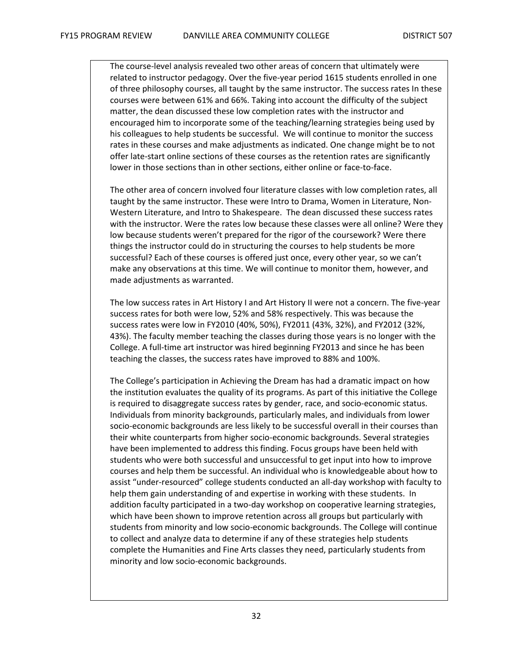The course-level analysis revealed two other areas of concern that ultimately were related to instructor pedagogy. Over the five-year period 1615 students enrolled in one of three philosophy courses, all taught by the same instructor. The success rates In these courses were between 61% and 66%. Taking into account the difficulty of the subject matter, the dean discussed these low completion rates with the instructor and encouraged him to incorporate some of the teaching/learning strategies being used by his colleagues to help students be successful. We will continue to monitor the success rates in these courses and make adjustments as indicated. One change might be to not offer late-start online sections of these courses as the retention rates are significantly lower in those sections than in other sections, either online or face-to-face.

The other area of concern involved four literature classes with low completion rates, all taught by the same instructor. These were Intro to Drama, Women in Literature, Non-Western Literature, and Intro to Shakespeare. The dean discussed these success rates with the instructor. Were the rates low because these classes were all online? Were they low because students weren't prepared for the rigor of the coursework? Were there things the instructor could do in structuring the courses to help students be more successful? Each of these courses is offered just once, every other year, so we can't make any observations at this time. We will continue to monitor them, however, and made adjustments as warranted.

The low success rates in Art History I and Art History II were not a concern. The five-year success rates for both were low, 52% and 58% respectively. This was because the success rates were low in FY2010 (40%, 50%), FY2011 (43%, 32%), and FY2012 (32%, 43%). The faculty member teaching the classes during those years is no longer with the College. A full-time art instructor was hired beginning FY2013 and since he has been teaching the classes, the success rates have improved to 88% and 100%.

The College's participation in Achieving the Dream has had a dramatic impact on how the institution evaluates the quality of its programs. As part of this initiative the College is required to disaggregate success rates by gender, race, and socio-economic status. Individuals from minority backgrounds, particularly males, and individuals from lower socio-economic backgrounds are less likely to be successful overall in their courses than their white counterparts from higher socio-economic backgrounds. Several strategies have been implemented to address this finding. Focus groups have been held with students who were both successful and unsuccessful to get input into how to improve courses and help them be successful. An individual who is knowledgeable about how to assist "under-resourced" college students conducted an all-day workshop with faculty to help them gain understanding of and expertise in working with these students. In addition faculty participated in a two-day workshop on cooperative learning strategies, which have been shown to improve retention across all groups but particularly with students from minority and low socio-economic backgrounds. The College will continue to collect and analyze data to determine if any of these strategies help students complete the Humanities and Fine Arts classes they need, particularly students from minority and low socio-economic backgrounds.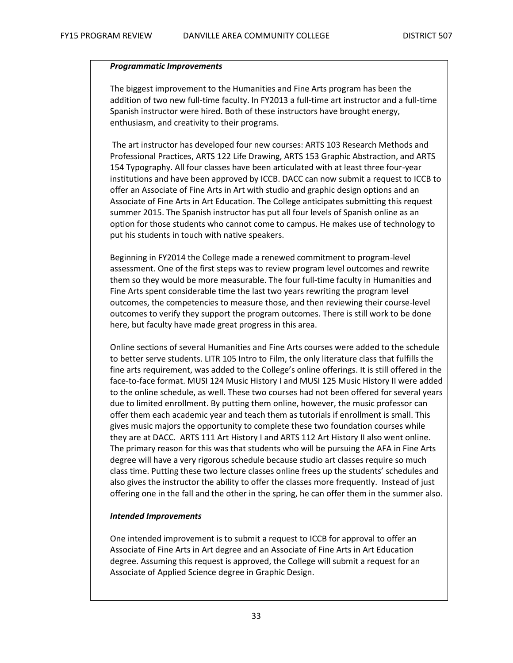#### *Programmatic Improvements*

The biggest improvement to the Humanities and Fine Arts program has been the addition of two new full-time faculty. In FY2013 a full-time art instructor and a full-time Spanish instructor were hired. Both of these instructors have brought energy, enthusiasm, and creativity to their programs.

The art instructor has developed four new courses: ARTS 103 Research Methods and Professional Practices, ARTS 122 Life Drawing, ARTS 153 Graphic Abstraction, and ARTS 154 Typography. All four classes have been articulated with at least three four-year institutions and have been approved by ICCB. DACC can now submit a request to ICCB to offer an Associate of Fine Arts in Art with studio and graphic design options and an Associate of Fine Arts in Art Education. The College anticipates submitting this request summer 2015. The Spanish instructor has put all four levels of Spanish online as an option for those students who cannot come to campus. He makes use of technology to put his students in touch with native speakers.

Beginning in FY2014 the College made a renewed commitment to program-level assessment. One of the first steps was to review program level outcomes and rewrite them so they would be more measurable. The four full-time faculty in Humanities and Fine Arts spent considerable time the last two years rewriting the program level outcomes, the competencies to measure those, and then reviewing their course-level outcomes to verify they support the program outcomes. There is still work to be done here, but faculty have made great progress in this area.

Online sections of several Humanities and Fine Arts courses were added to the schedule to better serve students. LITR 105 Intro to Film, the only literature class that fulfills the fine arts requirement, was added to the College's online offerings. It is still offered in the face-to-face format. MUSI 124 Music History I and MUSI 125 Music History II were added to the online schedule, as well. These two courses had not been offered for several years due to limited enrollment. By putting them online, however, the music professor can offer them each academic year and teach them as tutorials if enrollment is small. This gives music majors the opportunity to complete these two foundation courses while they are at DACC. ARTS 111 Art History I and ARTS 112 Art History II also went online. The primary reason for this was that students who will be pursuing the AFA in Fine Arts degree will have a very rigorous schedule because studio art classes require so much class time. Putting these two lecture classes online frees up the students' schedules and also gives the instructor the ability to offer the classes more frequently. Instead of just offering one in the fall and the other in the spring, he can offer them in the summer also.

#### *Intended Improvements*

One intended improvement is to submit a request to ICCB for approval to offer an Associate of Fine Arts in Art degree and an Associate of Fine Arts in Art Education degree. Assuming this request is approved, the College will submit a request for an Associate of Applied Science degree in Graphic Design.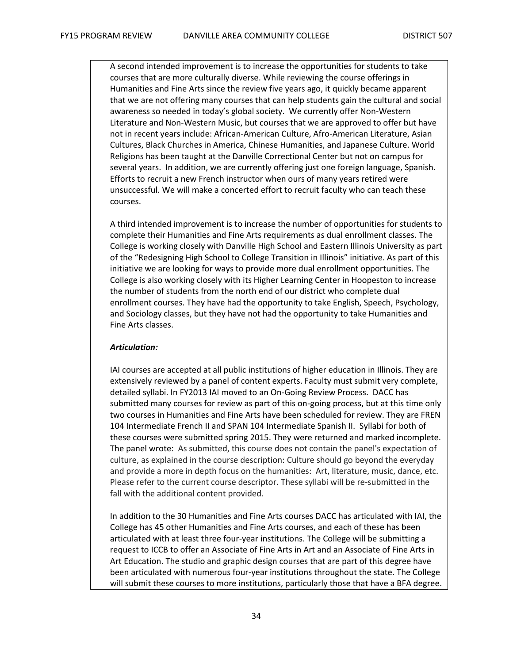A second intended improvement is to increase the opportunities for students to take courses that are more culturally diverse. While reviewing the course offerings in Humanities and Fine Arts since the review five years ago, it quickly became apparent that we are not offering many courses that can help students gain the cultural and social awareness so needed in today's global society. We currently offer Non-Western Literature and Non-Western Music, but courses that we are approved to offer but have not in recent years include: African-American Culture, Afro-American Literature, Asian Cultures, Black Churches in America, Chinese Humanities, and Japanese Culture. World Religions has been taught at the Danville Correctional Center but not on campus for several years. In addition, we are currently offering just one foreign language, Spanish. Efforts to recruit a new French instructor when ours of many years retired were unsuccessful. We will make a concerted effort to recruit faculty who can teach these courses.

A third intended improvement is to increase the number of opportunities for students to complete their Humanities and Fine Arts requirements as dual enrollment classes. The College is working closely with Danville High School and Eastern Illinois University as part of the "Redesigning High School to College Transition in Illinois" initiative. As part of this initiative we are looking for ways to provide more dual enrollment opportunities. The College is also working closely with its Higher Learning Center in Hoopeston to increase the number of students from the north end of our district who complete dual enrollment courses. They have had the opportunity to take English, Speech, Psychology, and Sociology classes, but they have not had the opportunity to take Humanities and Fine Arts classes.

#### *Articulation:*

IAI courses are accepted at all public institutions of higher education in Illinois. They are extensively reviewed by a panel of content experts. Faculty must submit very complete, detailed syllabi. In FY2013 IAI moved to an On-Going Review Process. DACC has submitted many courses for review as part of this on-going process, but at this time only two courses in Humanities and Fine Arts have been scheduled for review. They are FREN 104 Intermediate French II and SPAN 104 Intermediate Spanish II. Syllabi for both of these courses were submitted spring 2015. They were returned and marked incomplete. The panel wrote: As submitted, this course does not contain the panel's expectation of culture, as explained in the course description: Culture should go beyond the everyday and provide a more in depth focus on the humanities: Art, literature, music, dance, etc. Please refer to the current course descriptor. These syllabi will be re-submitted in the fall with the additional content provided.

In addition to the 30 Humanities and Fine Arts courses DACC has articulated with IAI, the College has 45 other Humanities and Fine Arts courses, and each of these has been articulated with at least three four-year institutions. The College will be submitting a request to ICCB to offer an Associate of Fine Arts in Art and an Associate of Fine Arts in Art Education. The studio and graphic design courses that are part of this degree have been articulated with numerous four-year institutions throughout the state. The College will submit these courses to more institutions, particularly those that have a BFA degree.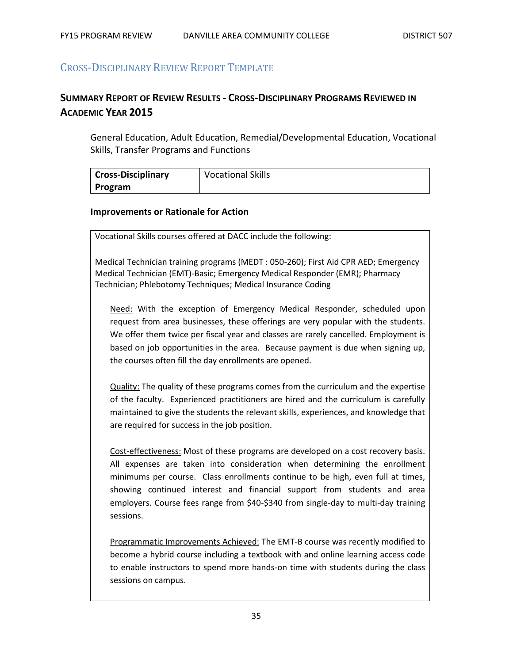# CROSS-DISCIPLINARY REVIEW REPORT TEMPLATE

# **SUMMARY REPORT OF REVIEW RESULTS - CROSS-DISCIPLINARY PROGRAMS REVIEWED IN ACADEMIC YEAR 2015**

General Education, Adult Education, Remedial/Developmental Education, Vocational Skills, Transfer Programs and Functions

| <b>Cross-Disciplinary</b> | <b>Vocational Skills</b> |
|---------------------------|--------------------------|
| Program                   |                          |

#### **Improvements or Rationale for Action**

Vocational Skills courses offered at DACC include the following:

Medical Technician training programs (MEDT : 050-260); First Aid CPR AED; Emergency Medical Technician (EMT)-Basic; Emergency Medical Responder (EMR); Pharmacy Technician; Phlebotomy Techniques; Medical Insurance Coding

Need: With the exception of Emergency Medical Responder, scheduled upon request from area businesses, these offerings are very popular with the students. We offer them twice per fiscal year and classes are rarely cancelled. Employment is based on job opportunities in the area. Because payment is due when signing up, the courses often fill the day enrollments are opened.

Quality: The quality of these programs comes from the curriculum and the expertise of the faculty. Experienced practitioners are hired and the curriculum is carefully maintained to give the students the relevant skills, experiences, and knowledge that are required for success in the job position.

Cost-effectiveness: Most of these programs are developed on a cost recovery basis. All expenses are taken into consideration when determining the enrollment minimums per course. Class enrollments continue to be high, even full at times, showing continued interest and financial support from students and area employers. Course fees range from \$40-\$340 from single-day to multi-day training sessions.

Programmatic Improvements Achieved: The EMT-B course was recently modified to become a hybrid course including a textbook with and online learning access code to enable instructors to spend more hands-on time with students during the class sessions on campus.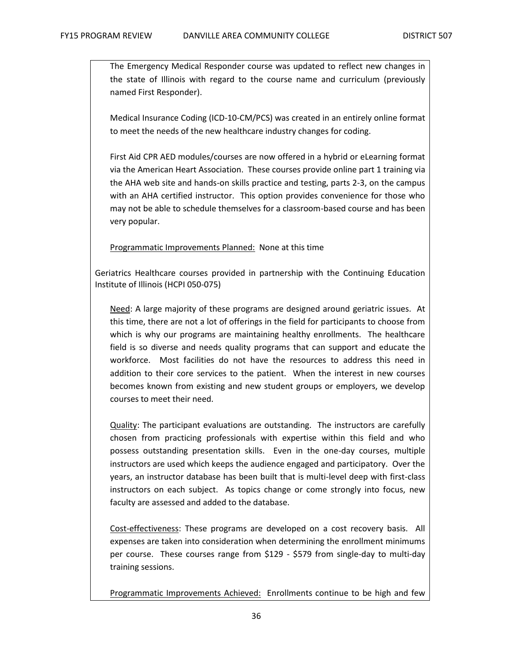The Emergency Medical Responder course was updated to reflect new changes in the state of Illinois with regard to the course name and curriculum (previously named First Responder).

Medical Insurance Coding (ICD-10-CM/PCS) was created in an entirely online format to meet the needs of the new healthcare industry changes for coding.

First Aid CPR AED modules/courses are now offered in a hybrid or eLearning format via the American Heart Association. These courses provide online part 1 training via the AHA web site and hands-on skills practice and testing, parts 2-3, on the campus with an AHA certified instructor. This option provides convenience for those who may not be able to schedule themselves for a classroom-based course and has been very popular.

Programmatic Improvements Planned: None at this time

Geriatrics Healthcare courses provided in partnership with the Continuing Education Institute of Illinois (HCPI 050-075)

Need: A large majority of these programs are designed around geriatric issues. At this time, there are not a lot of offerings in the field for participants to choose from which is why our programs are maintaining healthy enrollments. The healthcare field is so diverse and needs quality programs that can support and educate the workforce. Most facilities do not have the resources to address this need in addition to their core services to the patient. When the interest in new courses becomes known from existing and new student groups or employers, we develop courses to meet their need.

Quality: The participant evaluations are outstanding. The instructors are carefully chosen from practicing professionals with expertise within this field and who possess outstanding presentation skills. Even in the one-day courses, multiple instructors are used which keeps the audience engaged and participatory. Over the years, an instructor database has been built that is multi-level deep with first-class instructors on each subject. As topics change or come strongly into focus, new faculty are assessed and added to the database.

Cost-effectiveness: These programs are developed on a cost recovery basis. All expenses are taken into consideration when determining the enrollment minimums per course. These courses range from \$129 - \$579 from single-day to multi-day training sessions.

Programmatic Improvements Achieved: Enrollments continue to be high and few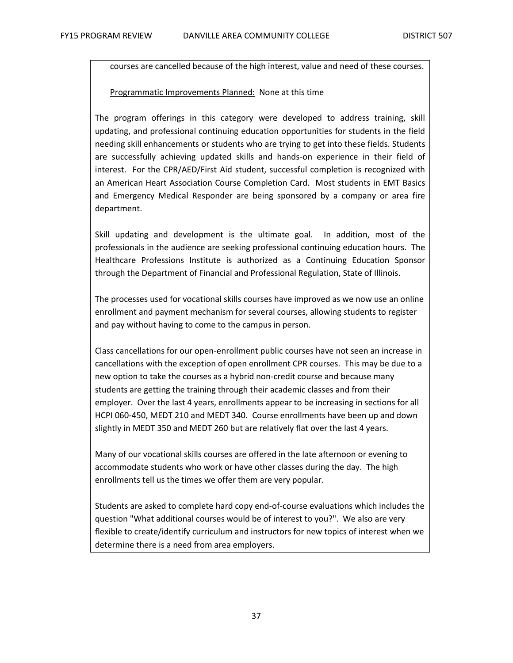courses are cancelled because of the high interest, value and need of these courses.

#### Programmatic Improvements Planned: None at this time

The program offerings in this category were developed to address training, skill updating, and professional continuing education opportunities for students in the field needing skill enhancements or students who are trying to get into these fields. Students are successfully achieving updated skills and hands-on experience in their field of interest. For the CPR/AED/First Aid student, successful completion is recognized with an American Heart Association Course Completion Card. Most students in EMT Basics and Emergency Medical Responder are being sponsored by a company or area fire department.

Skill updating and development is the ultimate goal. In addition, most of the professionals in the audience are seeking professional continuing education hours. The Healthcare Professions Institute is authorized as a Continuing Education Sponsor through the Department of Financial and Professional Regulation, State of Illinois.

The processes used for vocational skills courses have improved as we now use an online enrollment and payment mechanism for several courses, allowing students to register and pay without having to come to the campus in person.

Class cancellations for our open-enrollment public courses have not seen an increase in cancellations with the exception of open enrollment CPR courses. This may be due to a new option to take the courses as a hybrid non-credit course and because many students are getting the training through their academic classes and from their employer. Over the last 4 years, enrollments appear to be increasing in sections for all HCPI 060-450, MEDT 210 and MEDT 340. Course enrollments have been up and down slightly in MEDT 350 and MEDT 260 but are relatively flat over the last 4 years.

Many of our vocational skills courses are offered in the late afternoon or evening to accommodate students who work or have other classes during the day. The high enrollments tell us the times we offer them are very popular.

Students are asked to complete hard copy end-of-course evaluations which includes the question "What additional courses would be of interest to you?". We also are very flexible to create/identify curriculum and instructors for new topics of interest when we determine there is a need from area employers.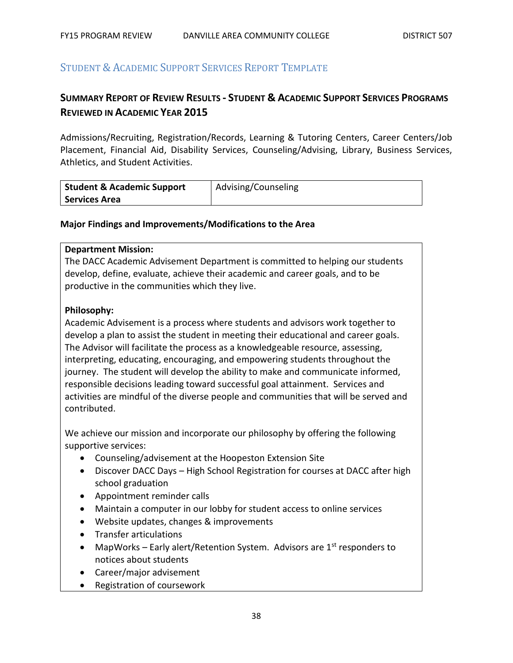# STUDENT & ACADEMIC SUPPORT SERVICES REPORT TEMPLATE

# **SUMMARY REPORT OF REVIEW RESULTS - STUDENT & ACADEMIC SUPPORT SERVICES PROGRAMS REVIEWED IN ACADEMIC YEAR 2015**

Admissions/Recruiting, Registration/Records, Learning & Tutoring Centers, Career Centers/Job Placement, Financial Aid, Disability Services, Counseling/Advising, Library, Business Services, Athletics, and Student Activities.

| <b>Student &amp; Academic Support</b> | Advising/Counseling |
|---------------------------------------|---------------------|
| <b>Services Area</b>                  |                     |

#### **Major Findings and Improvements/Modifications to the Area**

#### **Department Mission:**

The DACC Academic Advisement Department is committed to helping our students develop, define, evaluate, achieve their academic and career goals, and to be productive in the communities which they live.

#### **Philosophy:**

Academic Advisement is a process where students and advisors work together to develop a plan to assist the student in meeting their educational and career goals. The Advisor will facilitate the process as a knowledgeable resource, assessing, interpreting, educating, encouraging, and empowering students throughout the journey. The student will develop the ability to make and communicate informed, responsible decisions leading toward successful goal attainment. Services and activities are mindful of the diverse people and communities that will be served and contributed.

We achieve our mission and incorporate our philosophy by offering the following supportive services:

- Counseling/advisement at the Hoopeston Extension Site
- Discover DACC Days High School Registration for courses at DACC after high school graduation
- Appointment reminder calls
- Maintain a computer in our lobby for student access to online services
- Website updates, changes & improvements
- Transfer articulations
- MapWorks Early alert/Retention System. Advisors are  $1<sup>st</sup>$  responders to notices about students
- Career/major advisement
- Registration of coursework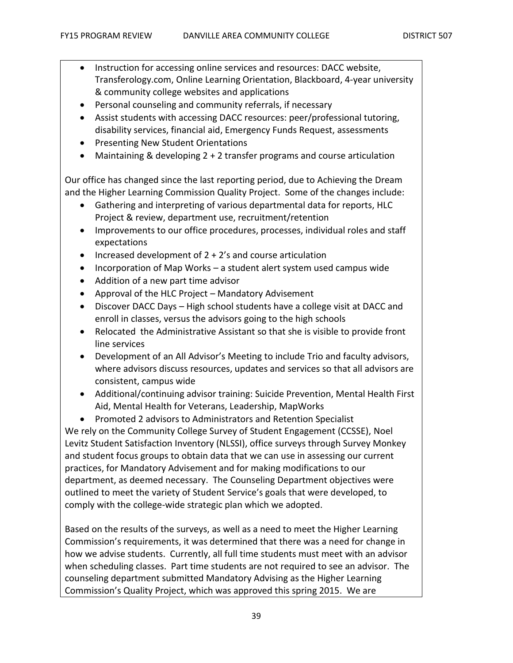- Instruction for accessing online services and resources: DACC website, Transferology.com, Online Learning Orientation, Blackboard, 4-year university & community college websites and applications
- Personal counseling and community referrals, if necessary
- Assist students with accessing DACC resources: peer/professional tutoring, disability services, financial aid, Emergency Funds Request, assessments
- Presenting New Student Orientations
- Maintaining & developing 2 + 2 transfer programs and course articulation

Our office has changed since the last reporting period, due to Achieving the Dream and the Higher Learning Commission Quality Project. Some of the changes include:

- Gathering and interpreting of various departmental data for reports, HLC Project & review, department use, recruitment/retention
- Improvements to our office procedures, processes, individual roles and staff expectations
- Increased development of  $2 + 2$ 's and course articulation
- Incorporation of Map Works a student alert system used campus wide
- Addition of a new part time advisor
- Approval of the HLC Project Mandatory Advisement
- Discover DACC Days High school students have a college visit at DACC and enroll in classes, versus the advisors going to the high schools
- Relocated the Administrative Assistant so that she is visible to provide front line services
- Development of an All Advisor's Meeting to include Trio and faculty advisors, where advisors discuss resources, updates and services so that all advisors are consistent, campus wide
- Additional/continuing advisor training: Suicide Prevention, Mental Health First Aid, Mental Health for Veterans, Leadership, MapWorks
- Promoted 2 advisors to Administrators and Retention Specialist

We rely on the Community College Survey of Student Engagement (CCSSE), Noel Levitz Student Satisfaction Inventory (NLSSI), office surveys through Survey Monkey and student focus groups to obtain data that we can use in assessing our current practices, for Mandatory Advisement and for making modifications to our department, as deemed necessary. The Counseling Department objectives were outlined to meet the variety of Student Service's goals that were developed, to comply with the college-wide strategic plan which we adopted.

Based on the results of the surveys, as well as a need to meet the Higher Learning Commission's requirements, it was determined that there was a need for change in how we advise students. Currently, all full time students must meet with an advisor when scheduling classes. Part time students are not required to see an advisor. The counseling department submitted Mandatory Advising as the Higher Learning Commission's Quality Project, which was approved this spring 2015. We are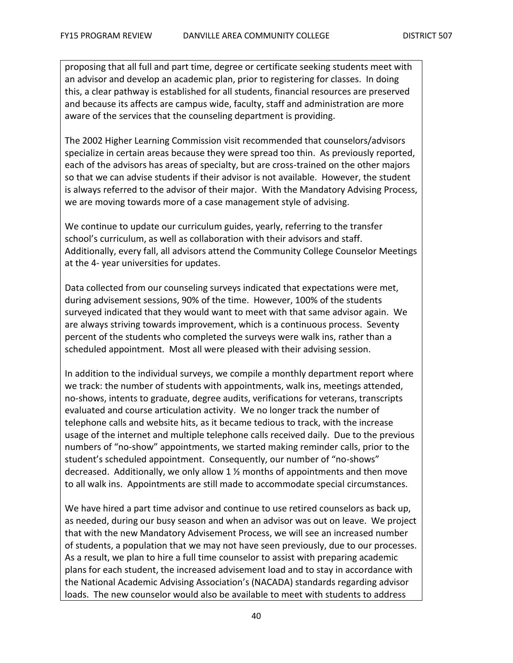proposing that all full and part time, degree or certificate seeking students meet with an advisor and develop an academic plan, prior to registering for classes. In doing this, a clear pathway is established for all students, financial resources are preserved and because its affects are campus wide, faculty, staff and administration are more aware of the services that the counseling department is providing.

The 2002 Higher Learning Commission visit recommended that counselors/advisors specialize in certain areas because they were spread too thin. As previously reported, each of the advisors has areas of specialty, but are cross-trained on the other majors so that we can advise students if their advisor is not available. However, the student is always referred to the advisor of their major. With the Mandatory Advising Process, we are moving towards more of a case management style of advising.

We continue to update our curriculum guides, yearly, referring to the transfer school's curriculum, as well as collaboration with their advisors and staff. Additionally, every fall, all advisors attend the Community College Counselor Meetings at the 4- year universities for updates.

Data collected from our counseling surveys indicated that expectations were met, during advisement sessions, 90% of the time. However, 100% of the students surveyed indicated that they would want to meet with that same advisor again. We are always striving towards improvement, which is a continuous process. Seventy percent of the students who completed the surveys were walk ins, rather than a scheduled appointment. Most all were pleased with their advising session.

In addition to the individual surveys, we compile a monthly department report where we track: the number of students with appointments, walk ins, meetings attended, no-shows, intents to graduate, degree audits, verifications for veterans, transcripts evaluated and course articulation activity. We no longer track the number of telephone calls and website hits, as it became tedious to track, with the increase usage of the internet and multiple telephone calls received daily. Due to the previous numbers of "no-show" appointments, we started making reminder calls, prior to the student's scheduled appointment. Consequently, our number of "no-shows" decreased. Additionally, we only allow 1 ½ months of appointments and then move to all walk ins. Appointments are still made to accommodate special circumstances.

We have hired a part time advisor and continue to use retired counselors as back up, as needed, during our busy season and when an advisor was out on leave. We project that with the new Mandatory Advisement Process, we will see an increased number of students, a population that we may not have seen previously, due to our processes. As a result, we plan to hire a full time counselor to assist with preparing academic plans for each student, the increased advisement load and to stay in accordance with the National Academic Advising Association's (NACADA) standards regarding advisor loads. The new counselor would also be available to meet with students to address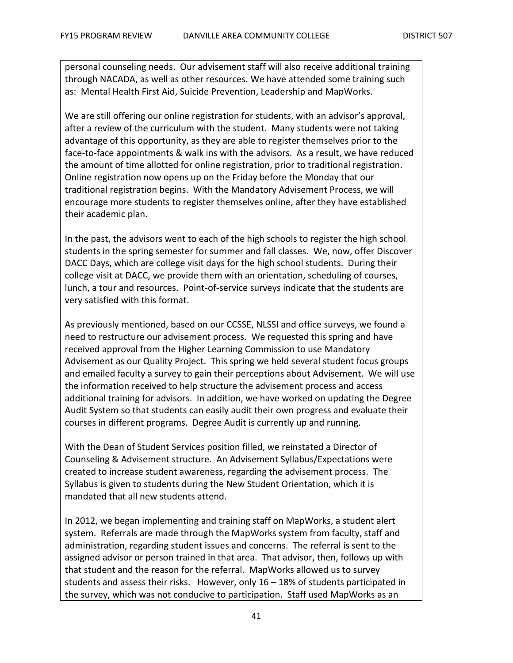personal counseling needs. Our advisement staff will also receive additional training through NACADA, as well as other resources. We have attended some training such as: Mental Health First Aid, Suicide Prevention, Leadership and MapWorks.

We are still offering our online registration for students, with an advisor's approval, after a review of the curriculum with the student. Many students were not taking advantage of this opportunity, as they are able to register themselves prior to the face-to-face appointments & walk ins with the advisors. As a result, we have reduced the amount of time allotted for online registration, prior to traditional registration. Online registration now opens up on the Friday before the Monday that our traditional registration begins. With the Mandatory Advisement Process, we will encourage more students to register themselves online, after they have established their academic plan.

In the past, the advisors went to each of the high schools to register the high school students in the spring semester for summer and fall classes. We, now, offer Discover DACC Days, which are college visit days for the high school students. During their college visit at DACC, we provide them with an orientation, scheduling of courses, lunch, a tour and resources. Point-of-service surveys indicate that the students are very satisfied with this format.

As previously mentioned, based on our CCSSE, NLSSI and office surveys, we found a need to restructure our advisement process. We requested this spring and have received approval from the Higher Learning Commission to use Mandatory Advisement as our Quality Project. This spring we held several student focus groups and emailed faculty a survey to gain their perceptions about Advisement. We will use the information received to help structure the advisement process and access additional training for advisors. In addition, we have worked on updating the Degree Audit System so that students can easily audit their own progress and evaluate their courses in different programs. Degree Audit is currently up and running.

With the Dean of Student Services position filled, we reinstated a Director of Counseling & Advisement structure. An Advisement Syllabus/Expectations were created to increase student awareness, regarding the advisement process. The Syllabus is given to students during the New Student Orientation, which it is mandated that all new students attend.

In 2012, we began implementing and training staff on MapWorks, a student alert system. Referrals are made through the MapWorks system from faculty, staff and administration, regarding student issues and concerns. The referral is sent to the assigned advisor or person trained in that area. That advisor, then, follows up with that student and the reason for the referral. MapWorks allowed us to survey students and assess their risks. However, only 16 – 18% of students participated in the survey, which was not conducive to participation. Staff used MapWorks as an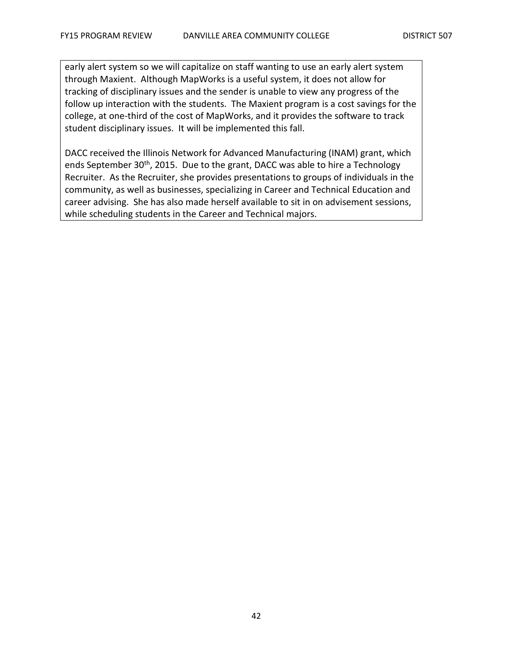early alert system so we will capitalize on staff wanting to use an early alert system through Maxient. Although MapWorks is a useful system, it does not allow for tracking of disciplinary issues and the sender is unable to view any progress of the follow up interaction with the students. The Maxient program is a cost savings for the college, at one-third of the cost of MapWorks, and it provides the software to track student disciplinary issues. It will be implemented this fall.

DACC received the Illinois Network for Advanced Manufacturing (INAM) grant, which ends September 30<sup>th</sup>, 2015. Due to the grant, DACC was able to hire a Technology Recruiter. As the Recruiter, she provides presentations to groups of individuals in the community, as well as businesses, specializing in Career and Technical Education and career advising. She has also made herself available to sit in on advisement sessions, while scheduling students in the Career and Technical majors.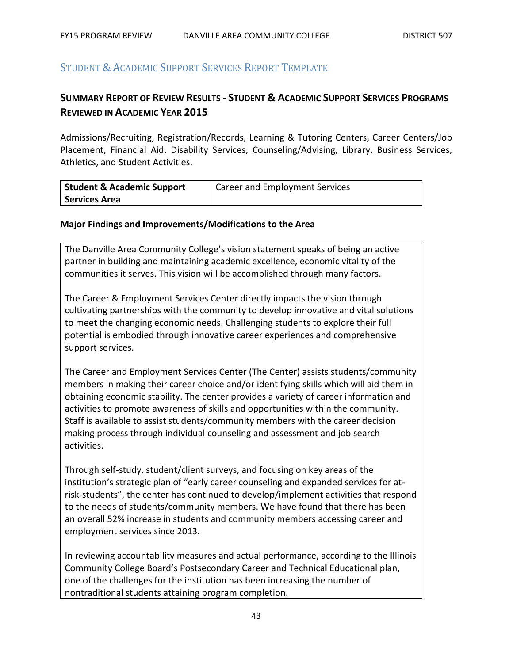# STUDENT & ACADEMIC SUPPORT SERVICES REPORT TEMPLATE

# **SUMMARY REPORT OF REVIEW RESULTS - STUDENT & ACADEMIC SUPPORT SERVICES PROGRAMS REVIEWED IN ACADEMIC YEAR 2015**

Admissions/Recruiting, Registration/Records, Learning & Tutoring Centers, Career Centers/Job Placement, Financial Aid, Disability Services, Counseling/Advising, Library, Business Services, Athletics, and Student Activities.

| <b>Student &amp; Academic Support</b> | <b>Career and Employment Services</b> |
|---------------------------------------|---------------------------------------|
| <b>Services Area</b>                  |                                       |

#### **Major Findings and Improvements/Modifications to the Area**

The Danville Area Community College's vision statement speaks of being an active partner in building and maintaining academic excellence, economic vitality of the communities it serves. This vision will be accomplished through many factors.

The Career & Employment Services Center directly impacts the vision through cultivating partnerships with the community to develop innovative and vital solutions to meet the changing economic needs. Challenging students to explore their full potential is embodied through innovative career experiences and comprehensive support services.

The Career and Employment Services Center (The Center) assists students/community members in making their career choice and/or identifying skills which will aid them in obtaining economic stability. The center provides a variety of career information and activities to promote awareness of skills and opportunities within the community. Staff is available to assist students/community members with the career decision making process through individual counseling and assessment and job search activities.

Through self-study, student/client surveys, and focusing on key areas of the institution's strategic plan of "early career counseling and expanded services for atrisk-students", the center has continued to develop/implement activities that respond to the needs of students/community members. We have found that there has been an overall 52% increase in students and community members accessing career and employment services since 2013.

In reviewing accountability measures and actual performance, according to the Illinois Community College Board's Postsecondary Career and Technical Educational plan, one of the challenges for the institution has been increasing the number of nontraditional students attaining program completion.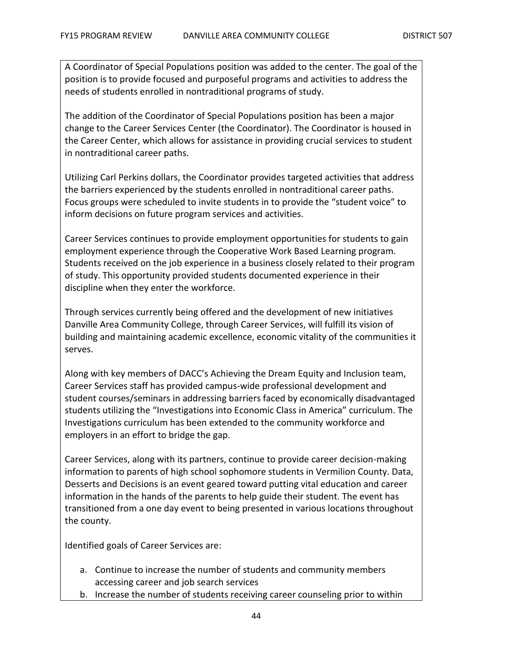A Coordinator of Special Populations position was added to the center. The goal of the position is to provide focused and purposeful programs and activities to address the needs of students enrolled in nontraditional programs of study.

The addition of the Coordinator of Special Populations position has been a major change to the Career Services Center (the Coordinator). The Coordinator is housed in the Career Center, which allows for assistance in providing crucial services to student in nontraditional career paths.

Utilizing Carl Perkins dollars, the Coordinator provides targeted activities that address the barriers experienced by the students enrolled in nontraditional career paths. Focus groups were scheduled to invite students in to provide the "student voice" to inform decisions on future program services and activities.

Career Services continues to provide employment opportunities for students to gain employment experience through the Cooperative Work Based Learning program. Students received on the job experience in a business closely related to their program of study. This opportunity provided students documented experience in their discipline when they enter the workforce.

Through services currently being offered and the development of new initiatives Danville Area Community College, through Career Services, will fulfill its vision of building and maintaining academic excellence, economic vitality of the communities it serves.

Along with key members of DACC's Achieving the Dream Equity and Inclusion team, Career Services staff has provided campus-wide professional development and student courses/seminars in addressing barriers faced by economically disadvantaged students utilizing the "Investigations into Economic Class in America" curriculum. The Investigations curriculum has been extended to the community workforce and employers in an effort to bridge the gap.

Career Services, along with its partners, continue to provide career decision-making information to parents of high school sophomore students in Vermilion County. Data, Desserts and Decisions is an event geared toward putting vital education and career information in the hands of the parents to help guide their student. The event has transitioned from a one day event to being presented in various locations throughout the county.

Identified goals of Career Services are:

- a. Continue to increase the number of students and community members accessing career and job search services
- b. Increase the number of students receiving career counseling prior to within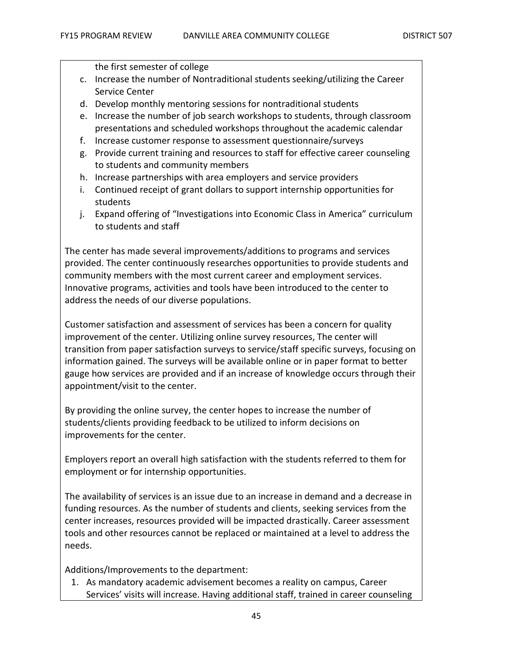the first semester of college

- c. Increase the number of Nontraditional students seeking/utilizing the Career Service Center
- d. Develop monthly mentoring sessions for nontraditional students
- e. Increase the number of job search workshops to students, through classroom presentations and scheduled workshops throughout the academic calendar
- f. Increase customer response to assessment questionnaire/surveys
- g. Provide current training and resources to staff for effective career counseling to students and community members
- h. Increase partnerships with area employers and service providers
- i. Continued receipt of grant dollars to support internship opportunities for students
- j. Expand offering of "Investigations into Economic Class in America" curriculum to students and staff

The center has made several improvements/additions to programs and services provided. The center continuously researches opportunities to provide students and community members with the most current career and employment services. Innovative programs, activities and tools have been introduced to the center to address the needs of our diverse populations.

Customer satisfaction and assessment of services has been a concern for quality improvement of the center. Utilizing online survey resources, The center will transition from paper satisfaction surveys to service/staff specific surveys, focusing on information gained. The surveys will be available online or in paper format to better gauge how services are provided and if an increase of knowledge occurs through their appointment/visit to the center.

By providing the online survey, the center hopes to increase the number of students/clients providing feedback to be utilized to inform decisions on improvements for the center.

Employers report an overall high satisfaction with the students referred to them for employment or for internship opportunities.

The availability of services is an issue due to an increase in demand and a decrease in funding resources. As the number of students and clients, seeking services from the center increases, resources provided will be impacted drastically. Career assessment tools and other resources cannot be replaced or maintained at a level to address the needs.

Additions/Improvements to the department:

1. As mandatory academic advisement becomes a reality on campus, Career Services' visits will increase. Having additional staff, trained in career counseling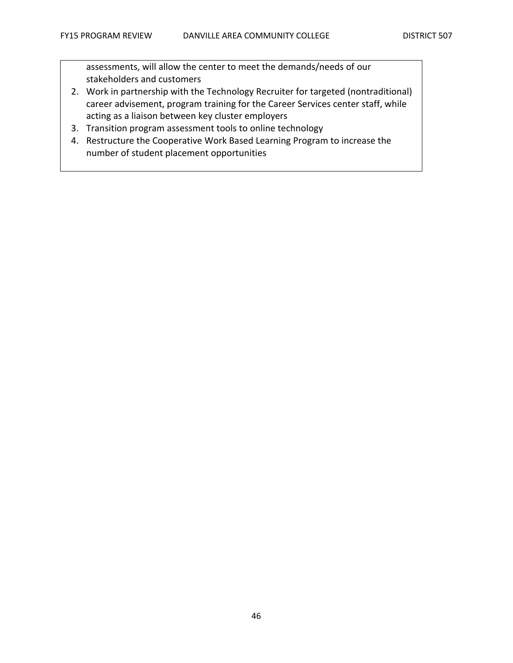assessments, will allow the center to meet the demands/needs of our stakeholders and customers

- 2. Work in partnership with the Technology Recruiter for targeted (nontraditional) career advisement, program training for the Career Services center staff, while acting as a liaison between key cluster employers
- 3. Transition program assessment tools to online technology
- 4. Restructure the Cooperative Work Based Learning Program to increase the number of student placement opportunities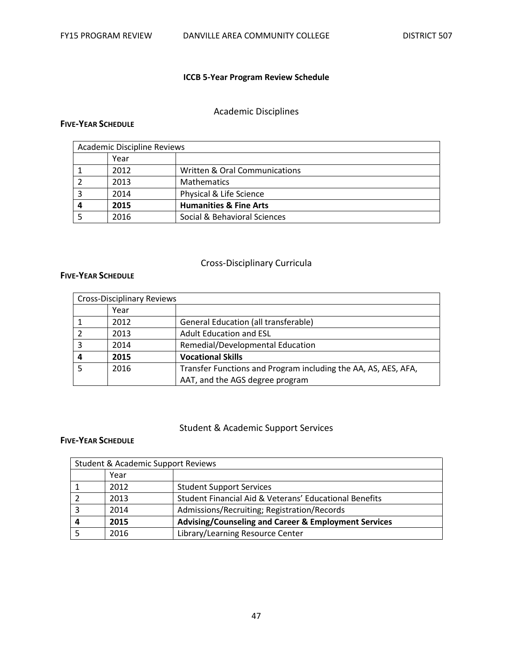# **ICCB 5-Year Program Review Schedule**

# Academic Disciplines

#### **FIVE-YEAR SCHEDULE**

| <b>Academic Discipline Reviews</b> |      |                                   |
|------------------------------------|------|-----------------------------------|
|                                    | Year |                                   |
|                                    | 2012 | Written & Oral Communications     |
|                                    | 2013 | <b>Mathematics</b>                |
|                                    | 2014 | Physical & Life Science           |
| 4                                  | 2015 | <b>Humanities &amp; Fine Arts</b> |
|                                    | 2016 | Social & Behavioral Sciences      |

### Cross-Disciplinary Curricula

#### **FIVE-YEAR SCHEDULE**

|   | <b>Cross-Disciplinary Reviews</b> |                                                                |
|---|-----------------------------------|----------------------------------------------------------------|
|   | Year                              |                                                                |
|   | 2012                              | <b>General Education (all transferable)</b>                    |
|   | 2013                              | <b>Adult Education and ESL</b>                                 |
|   | 2014                              | Remedial/Developmental Education                               |
| 4 | 2015                              | <b>Vocational Skills</b>                                       |
|   | 2016                              | Transfer Functions and Program including the AA, AS, AES, AFA, |
|   |                                   | AAT, and the AGS degree program                                |

### Student & Academic Support Services

#### **FIVE-YEAR SCHEDULE**

| <b>Student &amp; Academic Support Reviews</b> |      |                                                        |  |  |  |  |  |
|-----------------------------------------------|------|--------------------------------------------------------|--|--|--|--|--|
|                                               | Year |                                                        |  |  |  |  |  |
|                                               | 2012 | <b>Student Support Services</b>                        |  |  |  |  |  |
|                                               | 2013 | Student Financial Aid & Veterans' Educational Benefits |  |  |  |  |  |
|                                               | 2014 | Admissions/Recruiting; Registration/Records            |  |  |  |  |  |
|                                               | 2015 | Advising/Counseling and Career & Employment Services   |  |  |  |  |  |
|                                               | 2016 | Library/Learning Resource Center                       |  |  |  |  |  |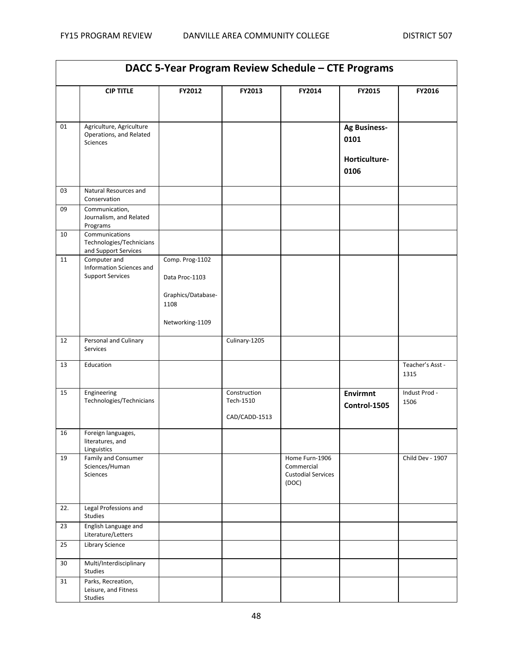| DACC 5-Year Program Review Schedule - CTE Programs |                                                                        |                                                                                    |                                            |                                                                    |                                                      |                          |  |  |
|----------------------------------------------------|------------------------------------------------------------------------|------------------------------------------------------------------------------------|--------------------------------------------|--------------------------------------------------------------------|------------------------------------------------------|--------------------------|--|--|
|                                                    | <b>CIP TITLE</b>                                                       | FY2012                                                                             | FY2013                                     | FY2014                                                             | FY2015                                               | FY2016                   |  |  |
| 01                                                 | Agriculture, Agriculture<br>Operations, and Related<br><b>Sciences</b> |                                                                                    |                                            |                                                                    | <b>Ag Business-</b><br>0101<br>Horticulture-<br>0106 |                          |  |  |
| 03                                                 | Natural Resources and<br>Conservation                                  |                                                                                    |                                            |                                                                    |                                                      |                          |  |  |
| 09                                                 | Communication,<br>Journalism, and Related<br>Programs                  |                                                                                    |                                            |                                                                    |                                                      |                          |  |  |
| 10                                                 | Communications<br>Technologies/Technicians<br>and Support Services     |                                                                                    |                                            |                                                                    |                                                      |                          |  |  |
| 11                                                 | Computer and<br>Information Sciences and<br><b>Support Services</b>    | Comp. Prog-1102<br>Data Proc-1103<br>Graphics/Database-<br>1108<br>Networking-1109 |                                            |                                                                    |                                                      |                          |  |  |
| 12                                                 | Personal and Culinary<br>Services                                      |                                                                                    | Culinary-1205                              |                                                                    |                                                      |                          |  |  |
| 13                                                 | Education                                                              |                                                                                    |                                            |                                                                    |                                                      | Teacher's Asst -<br>1315 |  |  |
| 15                                                 | Engineering<br>Technologies/Technicians                                |                                                                                    | Construction<br>Tech-1510<br>CAD/CADD-1513 |                                                                    | <b>Envirmnt</b><br>Control-1505                      | Indust Prod -<br>1506    |  |  |
| 16                                                 | Foreign languages,<br>literatures, and<br>Linguistics                  |                                                                                    |                                            |                                                                    |                                                      |                          |  |  |
| 19                                                 | Family and Consumer<br>Sciences/Human<br>Sciences                      |                                                                                    |                                            | Home Furn-1906<br>Commercial<br><b>Custodial Services</b><br>(DOC) |                                                      | Child Dev - 1907         |  |  |
| 22.                                                | Legal Professions and<br><b>Studies</b>                                |                                                                                    |                                            |                                                                    |                                                      |                          |  |  |
| 23                                                 | English Language and<br>Literature/Letters                             |                                                                                    |                                            |                                                                    |                                                      |                          |  |  |
| 25                                                 | <b>Library Science</b>                                                 |                                                                                    |                                            |                                                                    |                                                      |                          |  |  |
| 30                                                 | Multi/Interdisciplinary<br>Studies                                     |                                                                                    |                                            |                                                                    |                                                      |                          |  |  |
| 31                                                 | Parks, Recreation,<br>Leisure, and Fitness<br>Studies                  |                                                                                    |                                            |                                                                    |                                                      |                          |  |  |